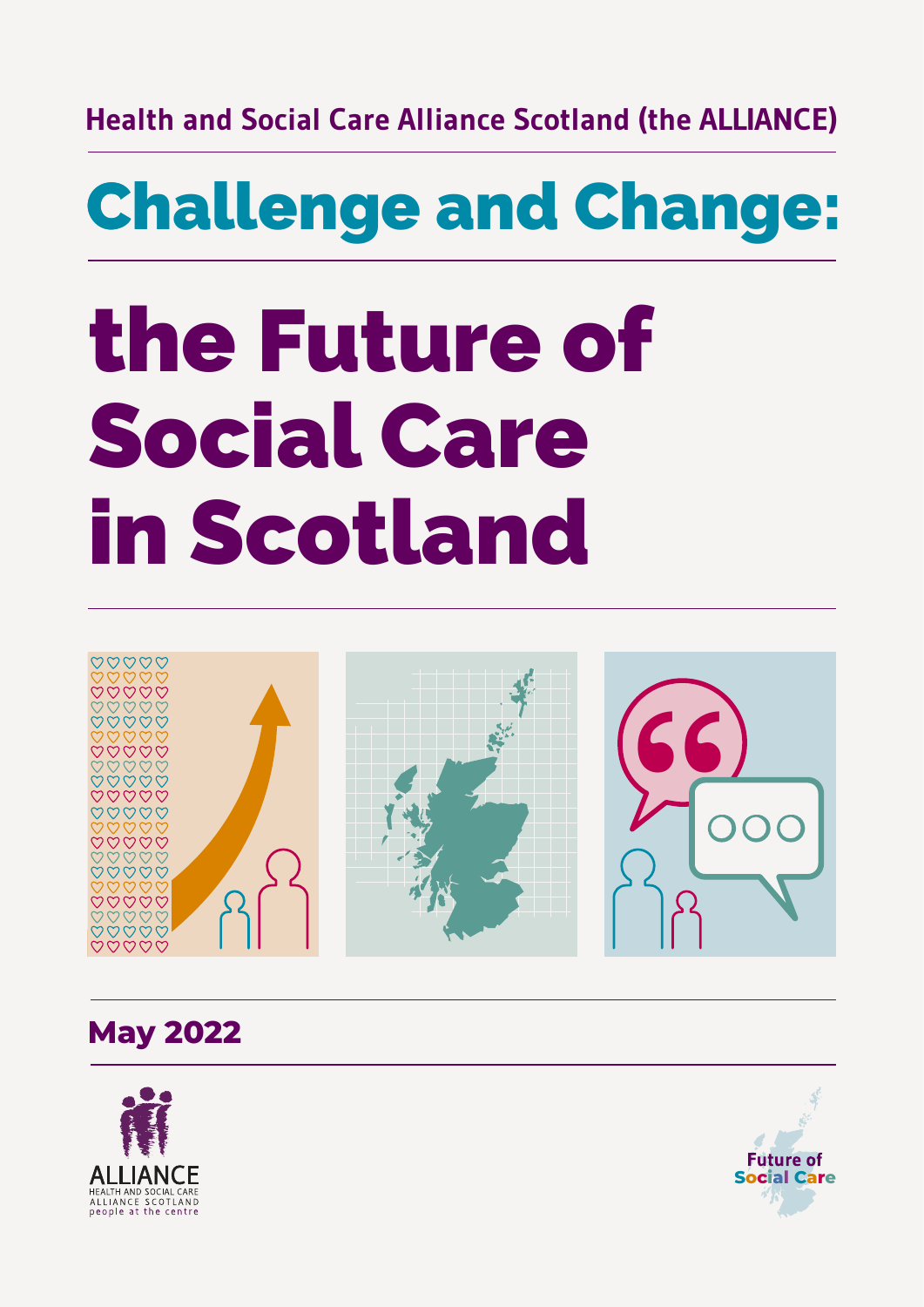#### **Health and Social Care Alliance Scotland (the ALLIANCE)**

# **Challenge and Change:**

# **the Future of Social Care in Scotland**



**May 2022**



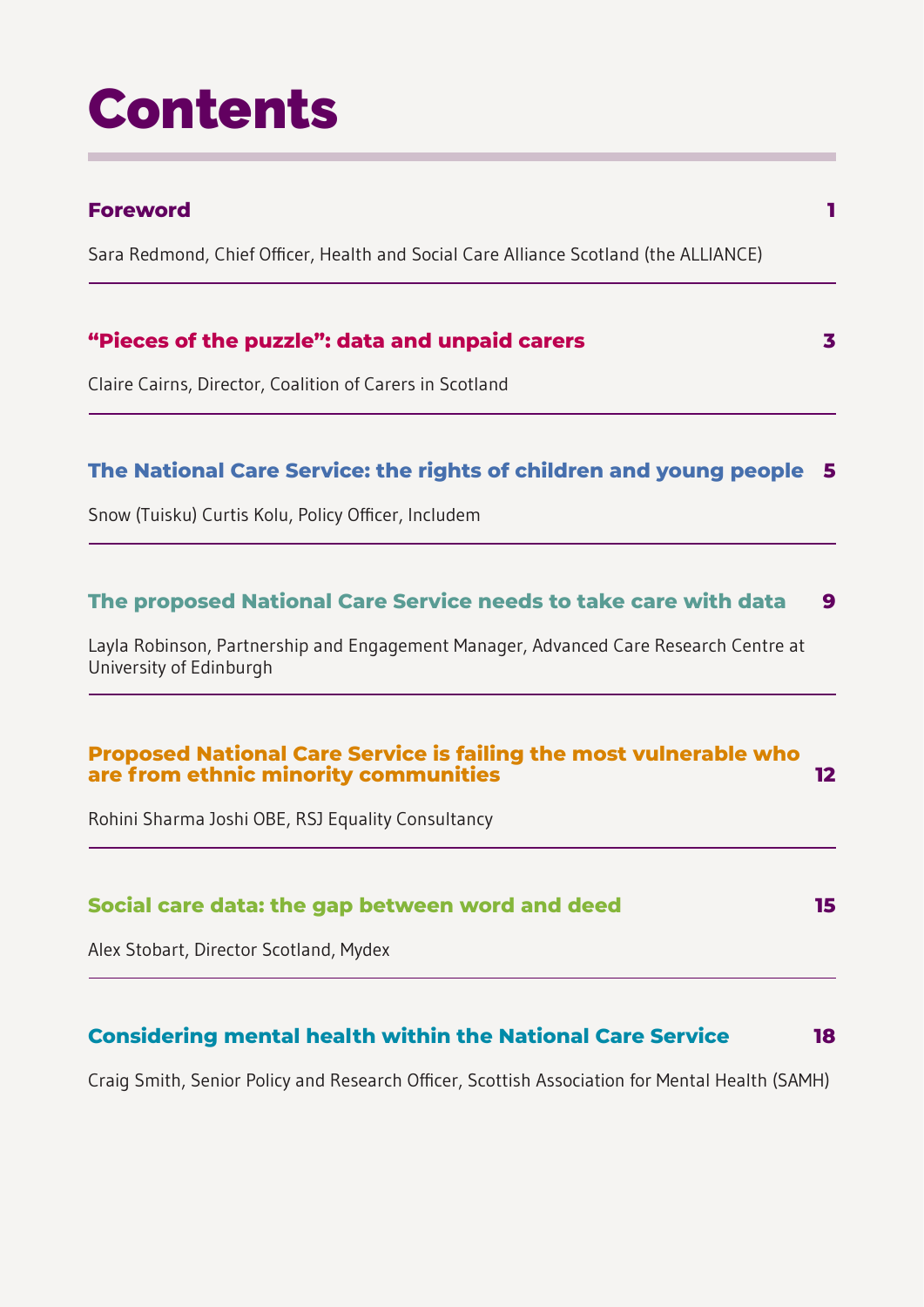# **Contents**

### **[Foreword](#page-3-0) 1** [Sara Redmond, Chief Officer, Health and Social Care Alliance Scotland \(the ALLIANCE\)](#page-3-0) **["Pieces of the puzzle": data and unpaid carers](#page-5-0) 3** [Claire Cairns, Director, Coalition of Carers in Scotland](#page-5-0) **[The National Care Service: the rights of children and young people](#page-7-0) 5** [Snow \(Tuisku\) Curtis Kolu, Policy Officer, Includem](#page-7-0) **[The proposed National Care Service needs to take care with data](#page-11-0) 9** [Layla Robinson, Partnership and Engagement Manager, Advanced Care Research Centre at](#page-11-0) [University of Edinburgh](#page-11-0) **[Proposed National Care Service is failing the most vulnerable who](#page-14-0) [are from ethnic minority communities](#page-14-0) 12** [Rohini Sharma Joshi OBE, RSJ Equality Consultancy](#page-14-0) **[Social care data: the gap between word and deed](#page-17-0) 15** [Alex Stobart, Director Scotland, Mydex](#page-17-0) **[Considering mental health within the National Care Service](#page-20-0) 18**

[Craig Smith, Senior Policy and Research Officer, Scottish Association for Mental Health \(SAMH\)](#page-20-0)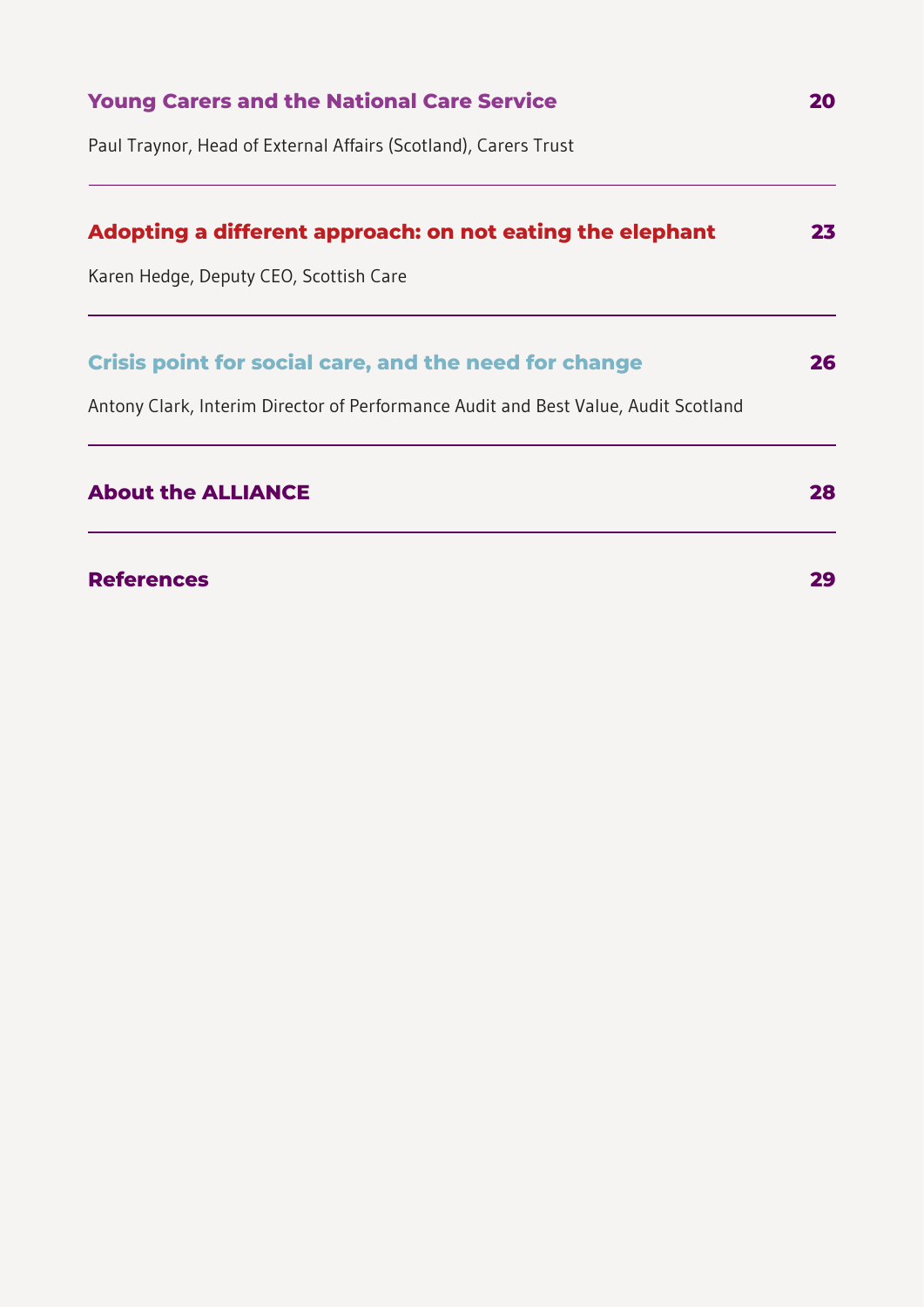| <b>Young Carers and the National Care Service</b>                                  |    |
|------------------------------------------------------------------------------------|----|
| Paul Traynor, Head of External Affairs (Scotland), Carers Trust                    |    |
| Adopting a different approach: on not eating the elephant                          | 23 |
| Karen Hedge, Deputy CEO, Scottish Care                                             |    |
| <b>Crisis point for social care, and the need for change</b>                       | 26 |
| Antony Clark, Interim Director of Performance Audit and Best Value, Audit Scotland |    |
| <b>About the ALLIANCE</b>                                                          | 28 |
| <b>References</b>                                                                  | 29 |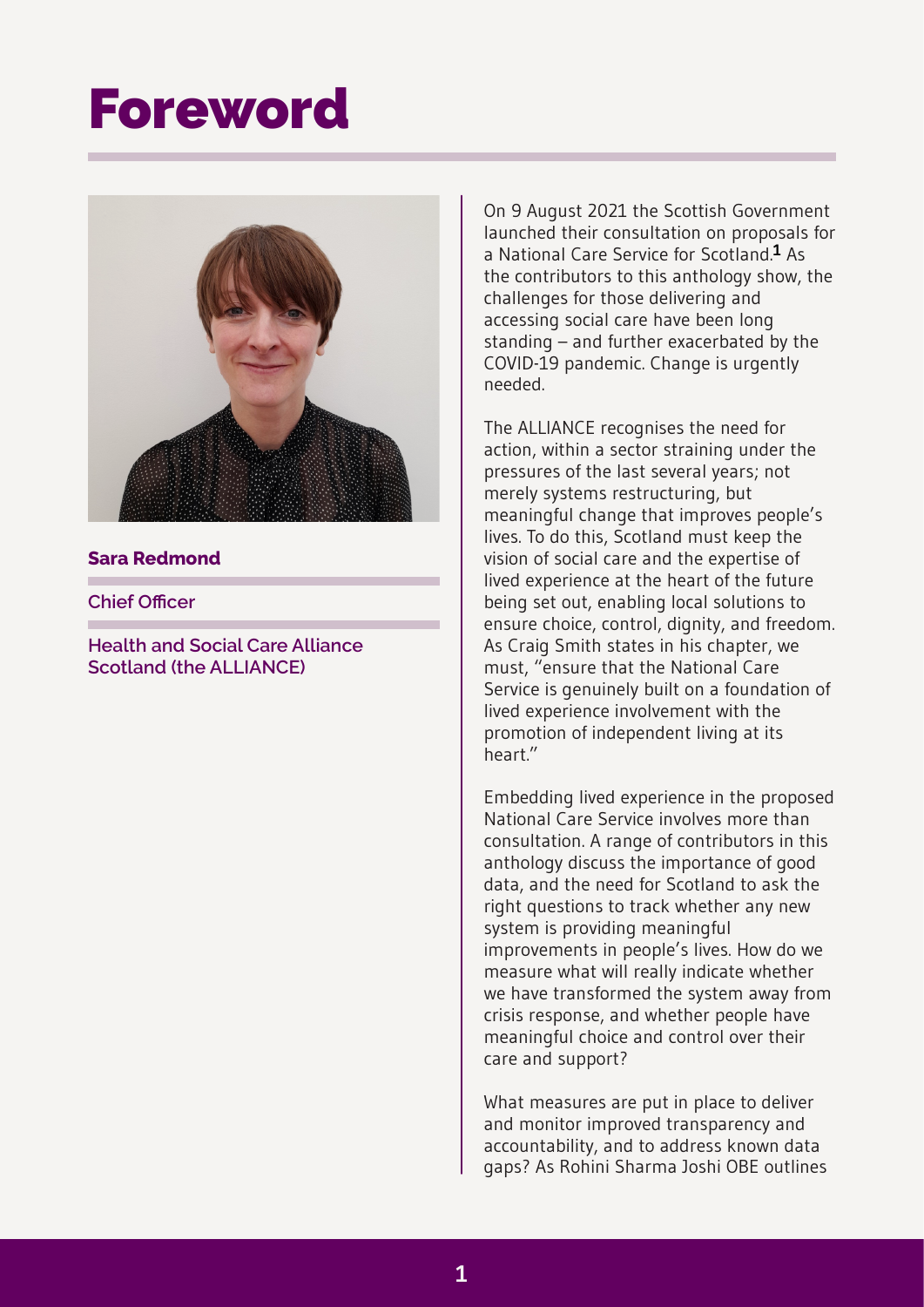### <span id="page-3-0"></span>**Foreword**



#### **Sara Redmond**

**Chief Officer**

**Health and Social Care Alliance Scotland (the ALLIANCE)**

On 9 August 2021 the Scottish Government launched their consultation on proposals for a National Care Service for Scotland.**[1](#page-31-1)** As the contributors to this anthology show, the challenges for those delivering and accessing social care have been long standing – and further exacerbated by the COVID-19 pandemic. Change is urgently needed.

The ALLIANCE recognises the need for action, within a sector straining under the pressures of the last several years; not merely systems restructuring, but meaningful change that improves people's lives. To do this, Scotland must keep the vision of social care and the expertise of lived experience at the heart of the future being set out, enabling local solutions to ensure choice, control, dignity, and freedom. As Craig Smith states in his chapter, we must, "ensure that the National Care Service is genuinely built on a foundation of lived experience involvement with the promotion of independent living at its heart."

Embedding lived experience in the proposed National Care Service involves more than consultation. A range of contributors in this anthology discuss the importance of good data, and the need for Scotland to ask the right questions to track whether any new system is providing meaningful improvements in people's lives. How do we measure what will really indicate whether we have transformed the system away from crisis response, and whether people have meaningful choice and control over their care and support?

What measures are put in place to deliver and monitor improved transparency and accountability, and to address known data gaps? As Rohini Sharma Joshi OBE outlines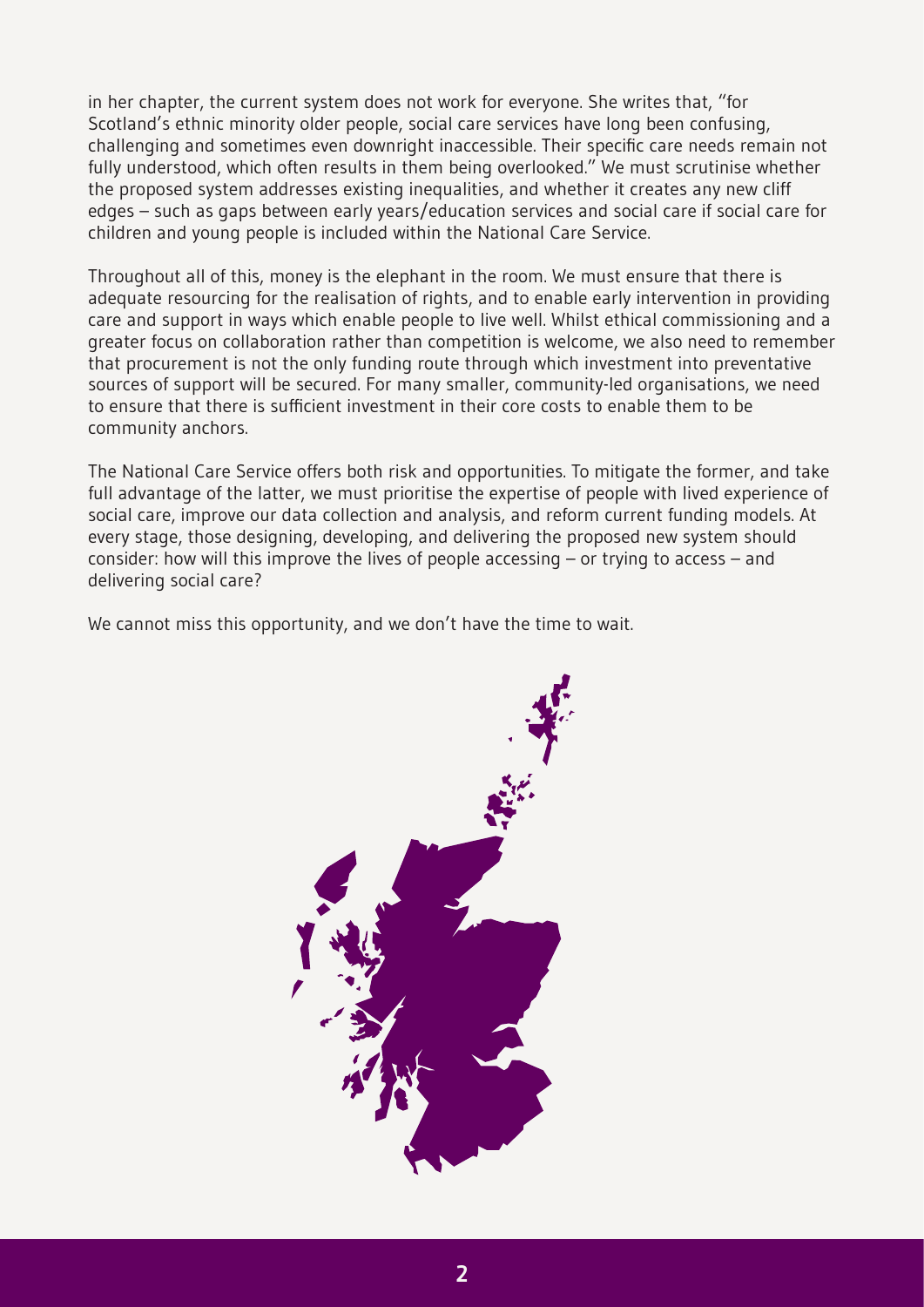in her chapter, the current system does not work for everyone. She writes that, "for Scotland's ethnic minority older people, social care services have long been confusing, challenging and sometimes even downright inaccessible. Their specific care needs remain not fully understood, which often results in them being overlooked." We must scrutinise whether the proposed system addresses existing inequalities, and whether it creates any new cliff edges – such as gaps between early years/education services and social care if social care for children and young people is included within the National Care Service.

Throughout all of this, money is the elephant in the room. We must ensure that there is adequate resourcing for the realisation of rights, and to enable early intervention in providing care and support in ways which enable people to live well. Whilst ethical commissioning and a greater focus on collaboration rather than competition is welcome, we also need to remember that procurement is not the only funding route through which investment into preventative sources of support will be secured. For many smaller, community-led organisations, we need to ensure that there is sufficient investment in their core costs to enable them to be community anchors.

The National Care Service offers both risk and opportunities. To mitigate the former, and take full advantage of the latter, we must prioritise the expertise of people with lived experience of social care, improve our data collection and analysis, and reform current funding models. At every stage, those designing, developing, and delivering the proposed new system should consider: how will this improve the lives of people accessing – or trying to access – and delivering social care?

We cannot miss this opportunity, and we don't have the time to wait.

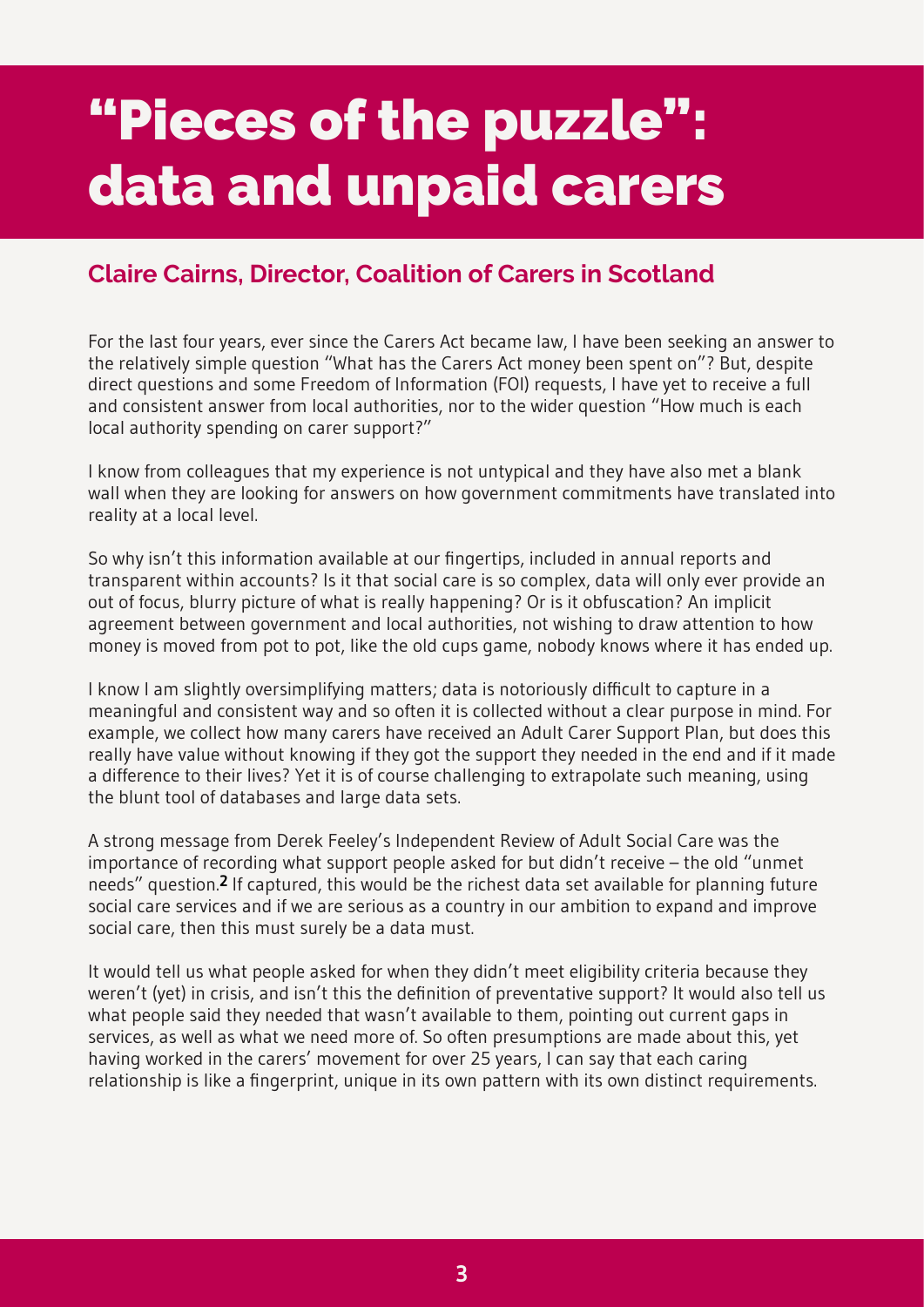### <span id="page-5-0"></span>**"Pieces of the puzzle": data and unpaid carers**

#### **Claire Cairns, Director, Coalition of Carers in Scotland**

For the last four years, ever since the Carers Act became law, I have been seeking an answer to the relatively simple question "What has the Carers Act money been spent on"? But, despite direct questions and some Freedom of Information (FOI) requests, I have yet to receive a full and consistent answer from local authorities, nor to the wider question "How much is each local authority spending on carer support?"

I know from colleagues that my experience is not untypical and they have also met a blank wall when they are looking for answers on how government commitments have translated into reality at a local level.

So why isn't this information available at our fingertips, included in annual reports and transparent within accounts? Is it that social care is so complex, data will only ever provide an out of focus, blurry picture of what is really happening? Or is it obfuscation? An implicit agreement between government and local authorities, not wishing to draw attention to how money is moved from pot to pot, like the old cups game, nobody knows where it has ended up.

I know I am slightly oversimplifying matters; data is notoriously difficult to capture in a meaningful and consistent way and so often it is collected without a clear purpose in mind. For example, we collect how many carers have received an Adult Carer Support Plan, but does this really have value without knowing if they got the support they needed in the end and if it made a difference to their lives? Yet it is of course challenging to extrapolate such meaning, using the blunt tool of databases and large data sets.

A strong message from Derek Feeley's Independent Review of Adult Social Care was the importance of recording what support people asked for but didn't receive – the old "unmet needs" question.**[2](#page-31-1)** If captured, this would be the richest data set available for planning future social care services and if we are serious as a country in our ambition to expand and improve social care, then this must surely be a data must.

It would tell us what people asked for when they didn't meet eligibility criteria because they weren't (yet) in crisis, and isn't this the definition of preventative support? It would also tell us what people said they needed that wasn't available to them, pointing out current gaps in services, as well as what we need more of. So often presumptions are made about this, yet having worked in the carers' movement for over 25 years, I can say that each caring relationship is like a fingerprint, unique in its own pattern with its own distinct requirements.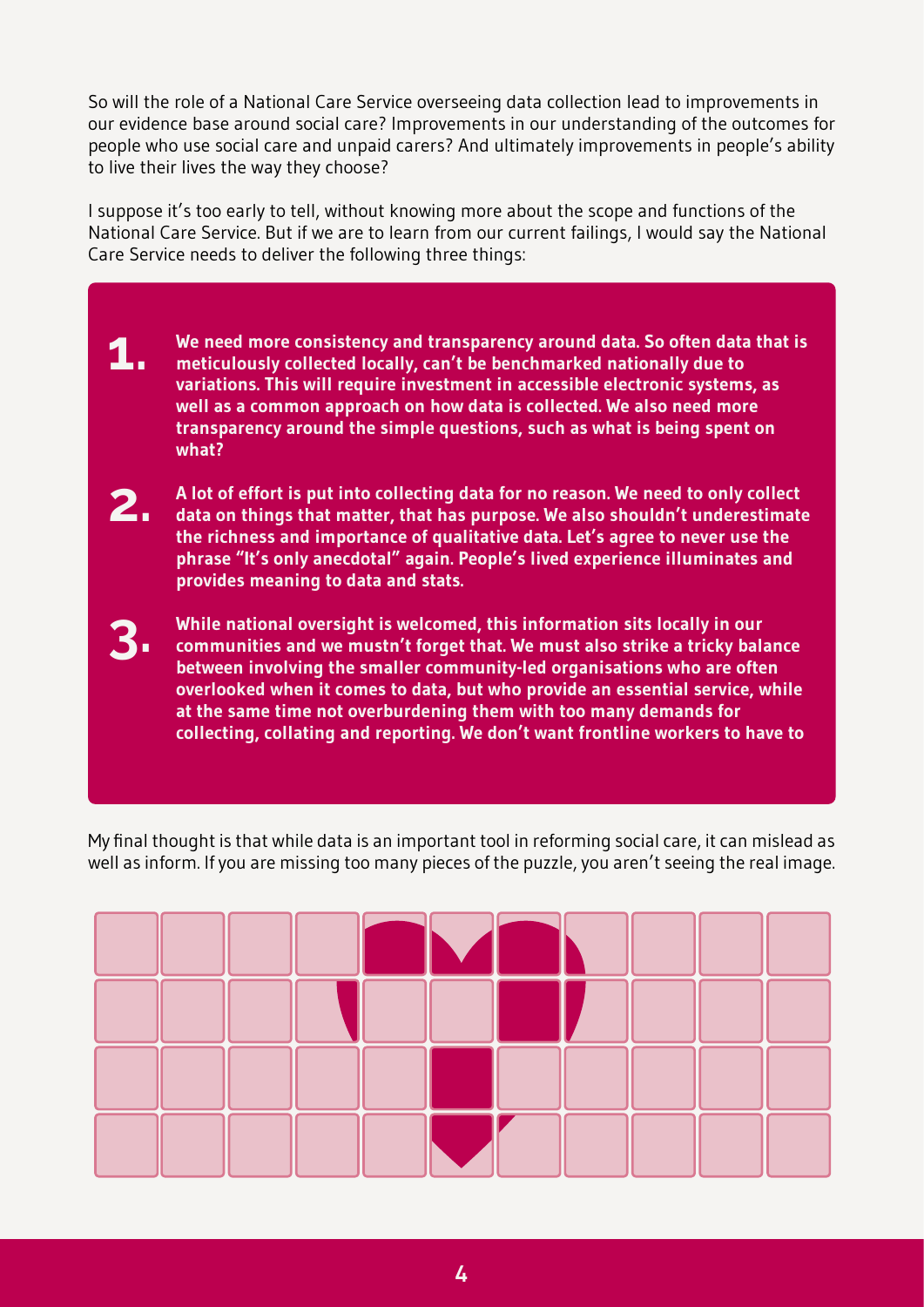So will the role of a National Care Service overseeing data collection lead to improvements in our evidence base around social care? Improvements in our understanding of the outcomes for people who use social care and unpaid carers? And ultimately improvements in people's ability to live their lives the way they choose?

I suppose it's too early to tell, without knowing more about the scope and functions of the National Care Service. But if we are to learn from our current failings, I would say the National Care Service needs to deliver the following three things:

- **We need more consistency and transparency around data. So often data that is meticulously collected locally, can't be benchmarked nationally due to variations. This will require investment in accessible electronic systems, as well as a common approach on how data is collected. We also need more transparency around the simple questions, such as what is being spent on what? 1.**
- **A lot of effort is put into collecting data for no reason. We need to only collect data on things that matter, that has purpose. We also shouldn't underestimate the richness and importance of qualitative data. Let's agree to never use the phrase "It's only anecdotal" again. People's lived experience illuminates and provides meaning to data and stats. 2.**
- **While national oversight is welcomed, this information sits locally in our communities and we mustn't forget that. We must also strike a tricky balance between involving the smaller community-led organisations who are often overlooked when it comes to data, but who provide an essential service, while at the same time not overburdening them with too many demands for collecting, collating and reporting. We don't want frontline workers to have to 3.**

My final thought is that while data is an important tool in reforming social care, it can mislead as well as inform. If you are missing too many pieces of the puzzle, you aren't seeing the real image.

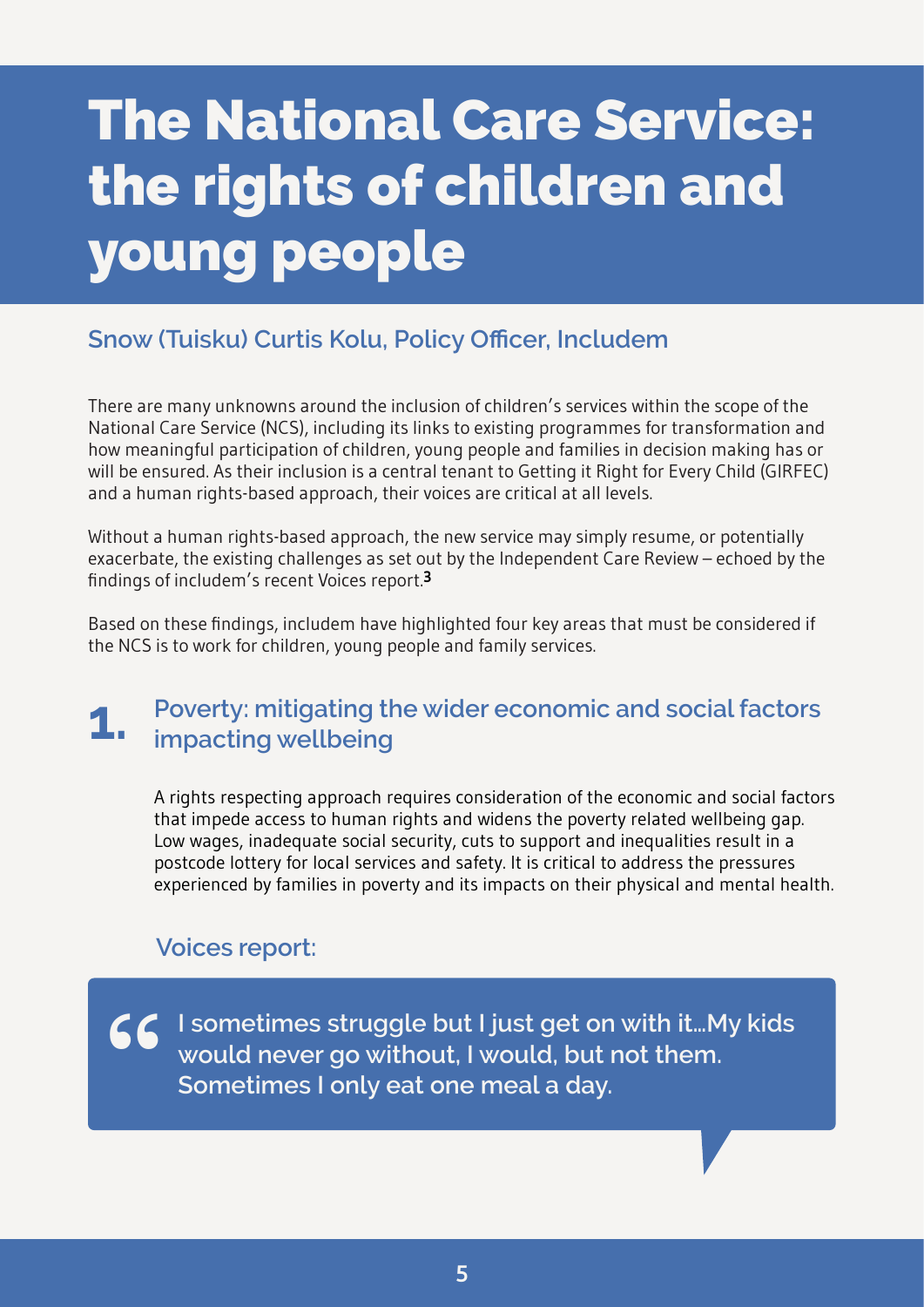# <span id="page-7-0"></span>**The National Care Service: the rights of children and young people**

#### **Snow (Tuisku) Curtis Kolu, Policy Officer, Includem**

There are many unknowns around the inclusion of children's services within the scope of the National Care Service (NCS), including its links to existing programmes for transformation and how meaningful participation of children, young people and families in decision making has or will be ensured. As their inclusion is a central tenant to Getting it Right for Every Child (GIRFEC) and a human rights-based approach, their voices are critical at all levels.

Without a human rights-based approach, the new service may simply resume, or potentially exacerbate, the existing challenges as set out by the Independent Care Review – echoed by the findings of includem's recent Voices report.**[3](#page-31-1)**

Based on these findings, includem have highlighted four key areas that must be considered if the NCS is to work for children, young people and family services.

### **Poverty: mitigating the wider economic and social factors impacting wellbeing**

A rights respecting approach requires consideration of the economic and social factors that impede access to human rights and widens the poverty related wellbeing gap. Low wages, inadequate social security, cuts to support and inequalities result in a postcode lottery for local services and safety. It is critical to address the pressures experienced by families in poverty and its impacts on their physical and mental health.

#### **Voices report:**

**I** sometimes struggle but I just get on with it... My kids would never go without, I would, but not them.<br>Sometimes I only eat one meal a day. **Sometimes I only eat one meal a day.**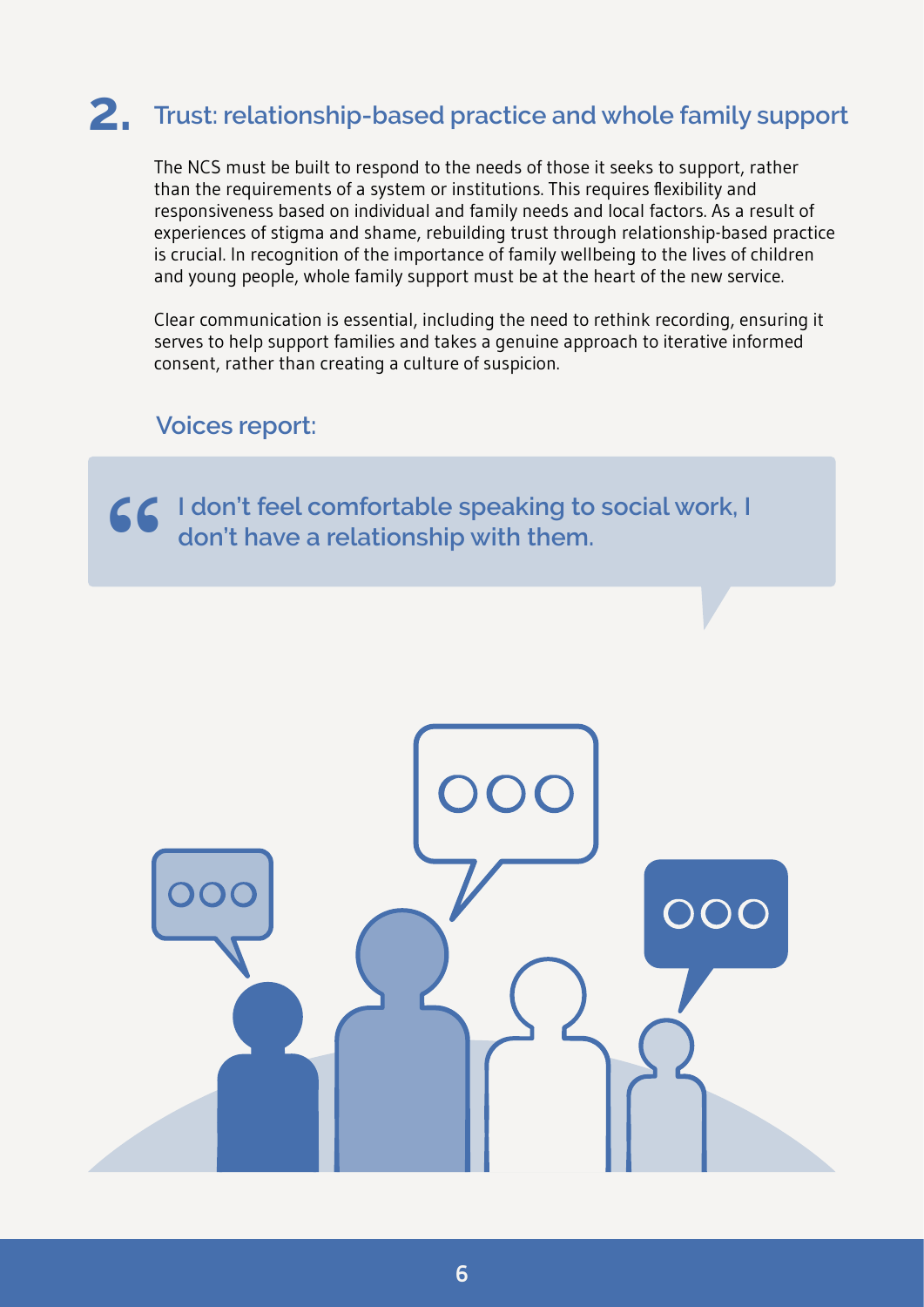### **2. Trust: relationship-based practice and whole family support**

The NCS must be built to respond to the needs of those it seeks to support, rather than the requirements of a system or institutions. This requires flexibility and responsiveness based on individual and family needs and local factors. As a result of experiences of stigma and shame, rebuilding trust through relationship-based practice is crucial. In recognition of the importance of family wellbeing to the lives of children and young people, whole family support must be at the heart of the new service.

Clear communication is essential, including the need to rethink recording, ensuring it serves to help support families and takes a genuine approach to iterative informed consent, rather than creating a culture of suspicion.

#### **Voices report:**

**I don't feel comfortable speaking to social work, I " don't have a relationship with them.**

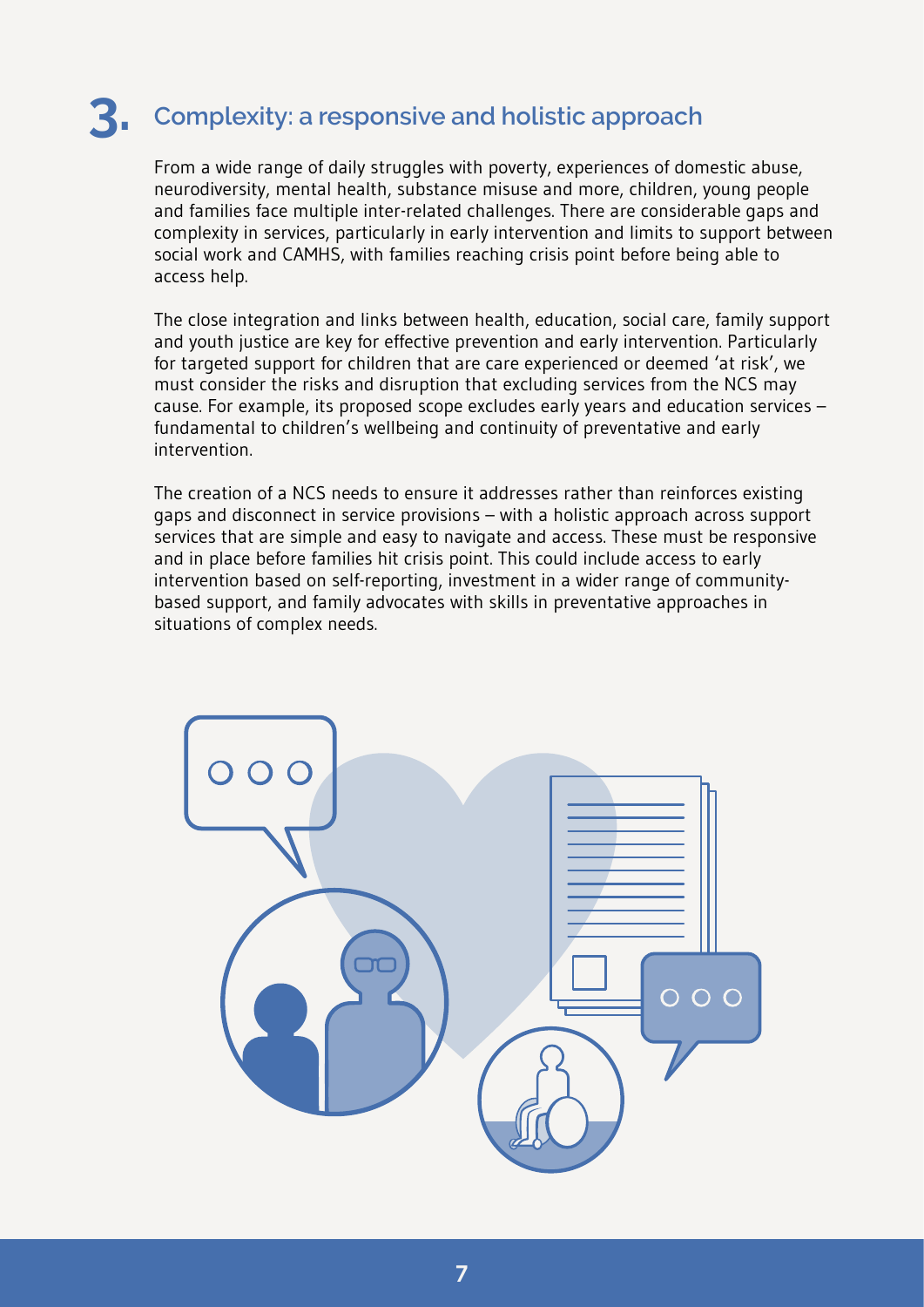### **3. Complexity: a responsive and holistic approach**

From a wide range of daily struggles with poverty, experiences of domestic abuse, neurodiversity, mental health, substance misuse and more, children, young people and families face multiple inter-related challenges. There are considerable gaps and complexity in services, particularly in early intervention and limits to support between social work and CAMHS, with families reaching crisis point before being able to access help.

The close integration and links between health, education, social care, family support and youth justice are key for effective prevention and early intervention. Particularly for targeted support for children that are care experienced or deemed 'at risk', we must consider the risks and disruption that excluding services from the NCS may cause. For example, its proposed scope excludes early years and education services – fundamental to children's wellbeing and continuity of preventative and early intervention.

The creation of a NCS needs to ensure it addresses rather than reinforces existing gaps and disconnect in service provisions – with a holistic approach across support services that are simple and easy to navigate and access. These must be responsive and in place before families hit crisis point. This could include access to early intervention based on self-reporting, investment in a wider range of communitybased support, and family advocates with skills in preventative approaches in situations of complex needs.

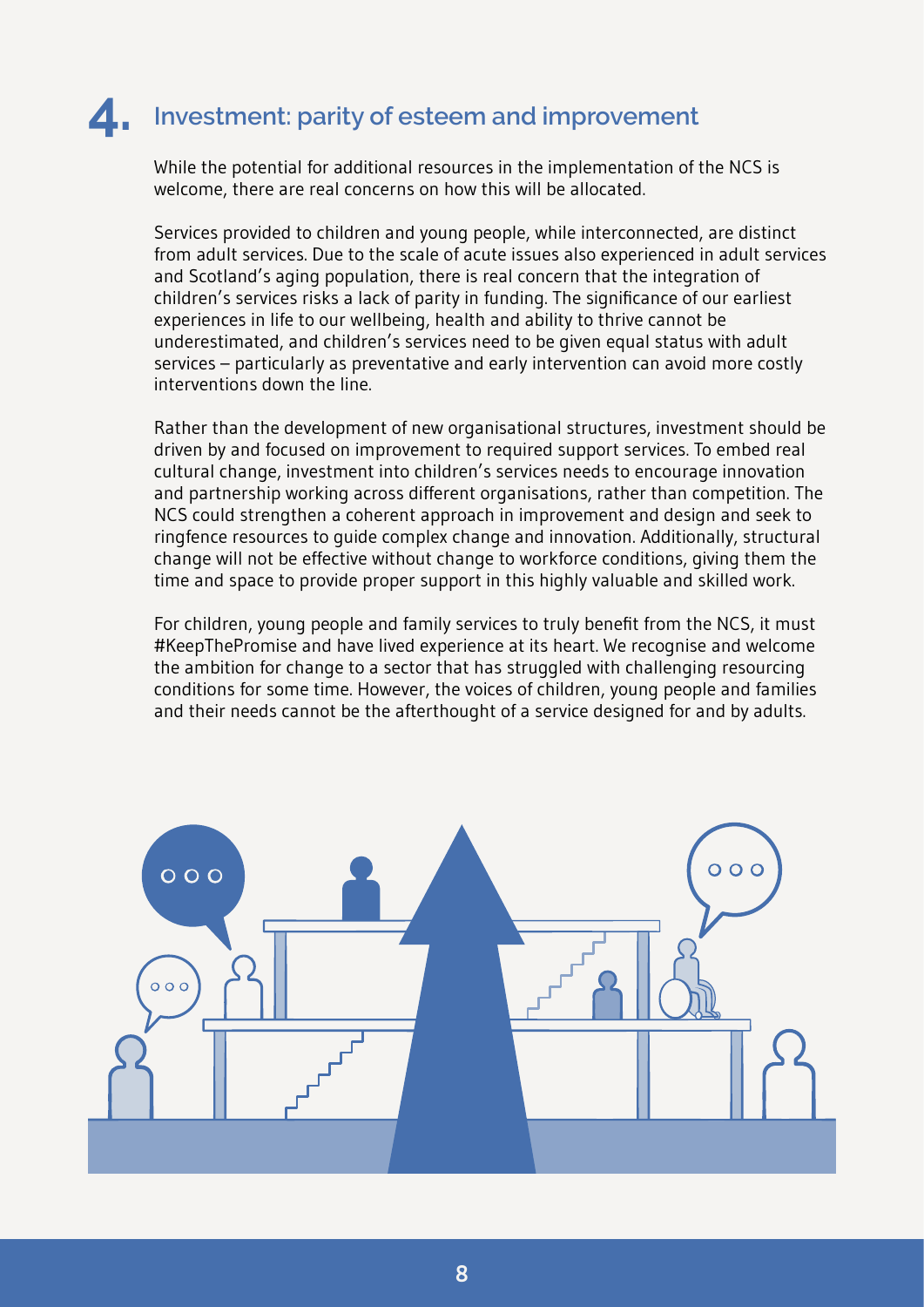### **4. Investment: parity of esteem and improvement**

While the potential for additional resources in the implementation of the NCS is welcome, there are real concerns on how this will be allocated.

Services provided to children and young people, while interconnected, are distinct from adult services. Due to the scale of acute issues also experienced in adult services and Scotland's aging population, there is real concern that the integration of children's services risks a lack of parity in funding. The significance of our earliest experiences in life to our wellbeing, health and ability to thrive cannot be underestimated, and children's services need to be given equal status with adult services – particularly as preventative and early intervention can avoid more costly interventions down the line.

Rather than the development of new organisational structures, investment should be driven by and focused on improvement to required support services. To embed real cultural change, investment into children's services needs to encourage innovation and partnership working across different organisations, rather than competition. The NCS could strengthen a coherent approach in improvement and design and seek to ringfence resources to guide complex change and innovation. Additionally, structural change will not be effective without change to workforce conditions, giving them the time and space to provide proper support in this highly valuable and skilled work.

For children, young people and family services to truly benefit from the NCS, it must #KeepThePromise and have lived experience at its heart. We recognise and welcome the ambition for change to a sector that has struggled with challenging resourcing conditions for some time. However, the voices of children, young people and families and their needs cannot be the afterthought of a service designed for and by adults.

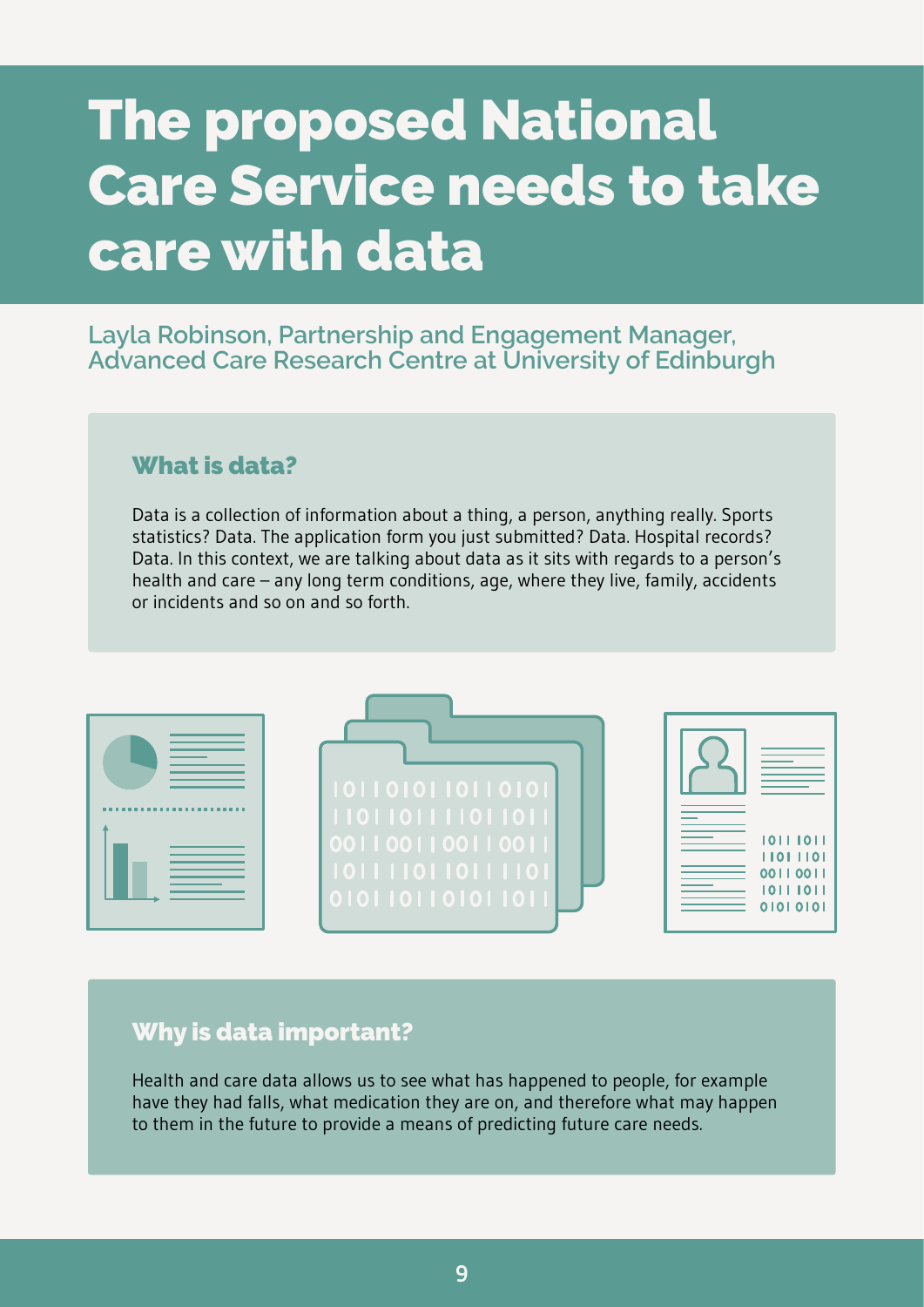# <span id="page-11-0"></span>**The proposed National Care Service needs to take care with data**

#### **Layla Robinson, Partnership and Engagement Manager, Advanced Care Research Centre at University of Edinburgh**

#### **What is data?**

Data is a collection of information about a thing, a person, anything really. Sports statistics? Data. The application form you just submitted? Data. Hospital records? Data. In this context, we are talking about data as it sits with regards to a person's health and care – any long term conditions, age, where they live, family, accidents or incidents and so on and so forth.

| 1011010110110101<br>1101101111011011<br>0011001100110011<br>1011110110111101<br>010110110101101 | 10111011<br>11011101<br>0011001<br>1011101<br>01010101 |
|-------------------------------------------------------------------------------------------------|--------------------------------------------------------|

#### **Why is data important?**

Health and care data allows us to see what has happened to people, for example have they had falls, what medication they are on, and therefore what may happen to them in the future to provide a means of predicting future care needs.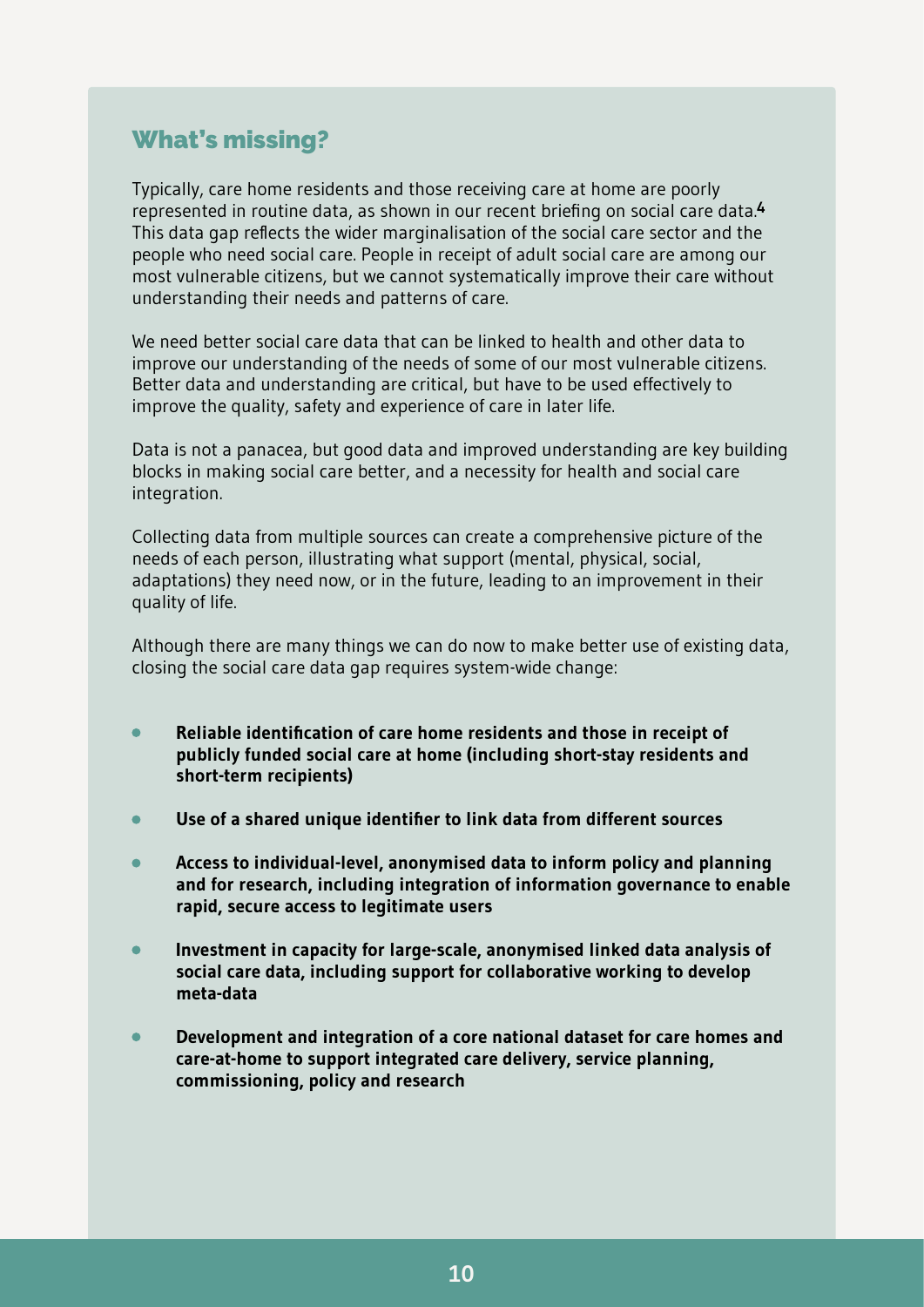#### **What's missing?**

Typically, care home residents and those receiving care at home are poorly represented in routine data, as shown in our recent briefing on social care data.**[4](#page-31-1)** This data gap reflects the wider marginalisation of the social care sector and the people who need social care. People in receipt of adult social care are among our most vulnerable citizens, but we cannot systematically improve their care without understanding their needs and patterns of care.

We need better social care data that can be linked to health and other data to improve our understanding of the needs of some of our most vulnerable citizens. Better data and understanding are critical, but have to be used effectively to improve the quality, safety and experience of care in later life.

Data is not a panacea, but good data and improved understanding are key building blocks in making social care better, and a necessity for health and social care integration.

Collecting data from multiple sources can create a comprehensive picture of the needs of each person, illustrating what support (mental, physical, social, adaptations) they need now, or in the future, leading to an improvement in their quality of life.

Although there are many things we can do now to make better use of existing data, closing the social care data gap requires system-wide change:

- **Reliable identification of care home residents and those in receipt of** ٠ **publicly funded social care at home (including short-stay residents and short-term recipients)**
- **Use of a shared unique identifier to link data from different sources**
- **Access to individual-level, anonymised data to inform policy and planning**  $\bullet$ **and for research, including integration of information governance to enable rapid, secure access to legitimate users**
- **Investment in capacity for large-scale, anonymised linked data analysis of social care data, including support for collaborative working to develop meta-data**
- **Development and integration of a core national dataset for care homes and care-at-home to support integrated care delivery, service planning, commissioning, policy and research**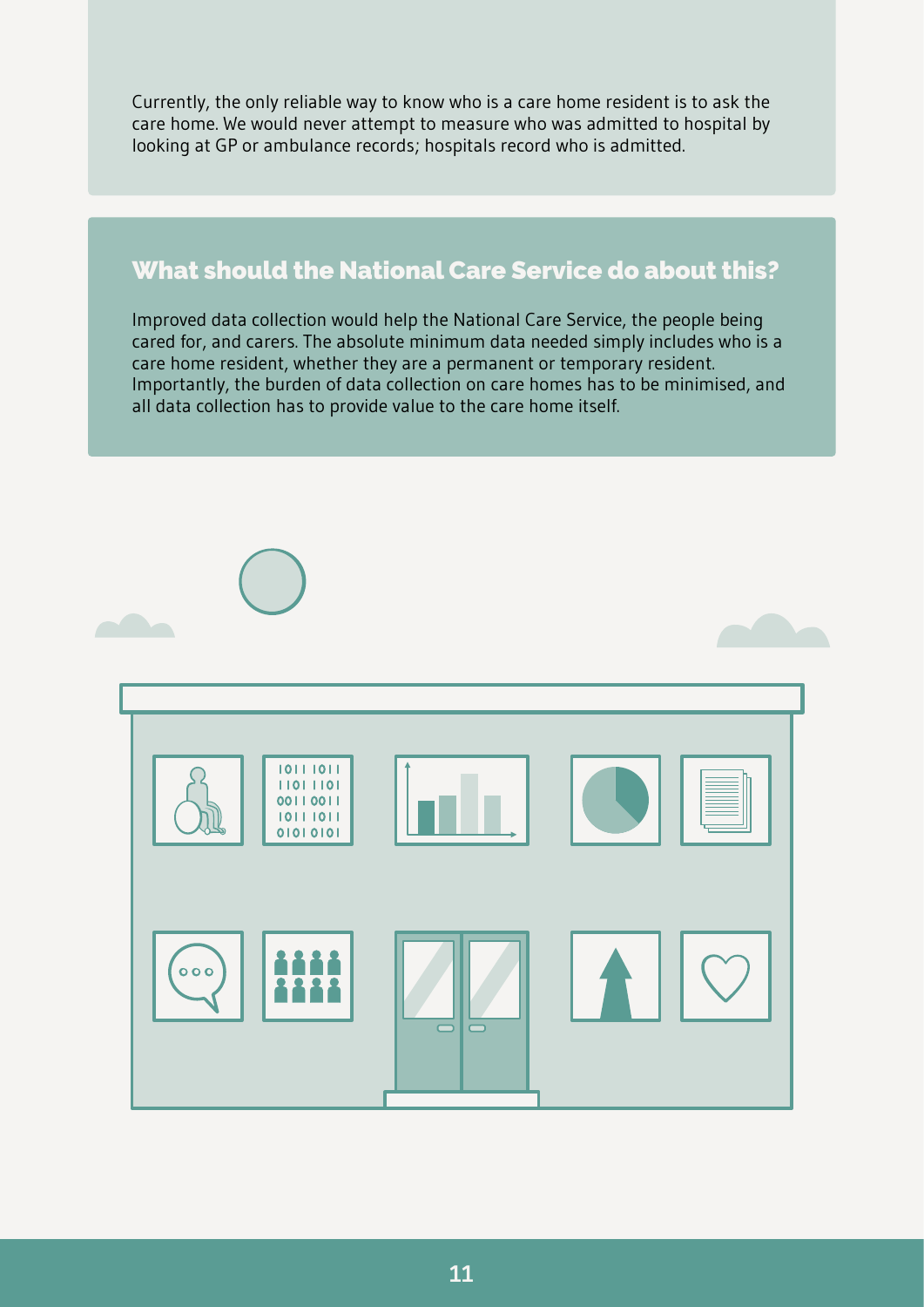Currently, the only reliable way to know who is a care home resident is to ask the care home. We would never attempt to measure who was admitted to hospital by looking at GP or ambulance records; hospitals record who is admitted.

#### **What should the National Care Service do about this?**

Improved data collection would help the National Care Service, the people being cared for, and carers. The absolute minimum data needed simply includes who is a care home resident, whether they are a permanent or temporary resident. Importantly, the burden of data collection on care homes has to be minimised, and all data collection has to provide value to the care home itself.

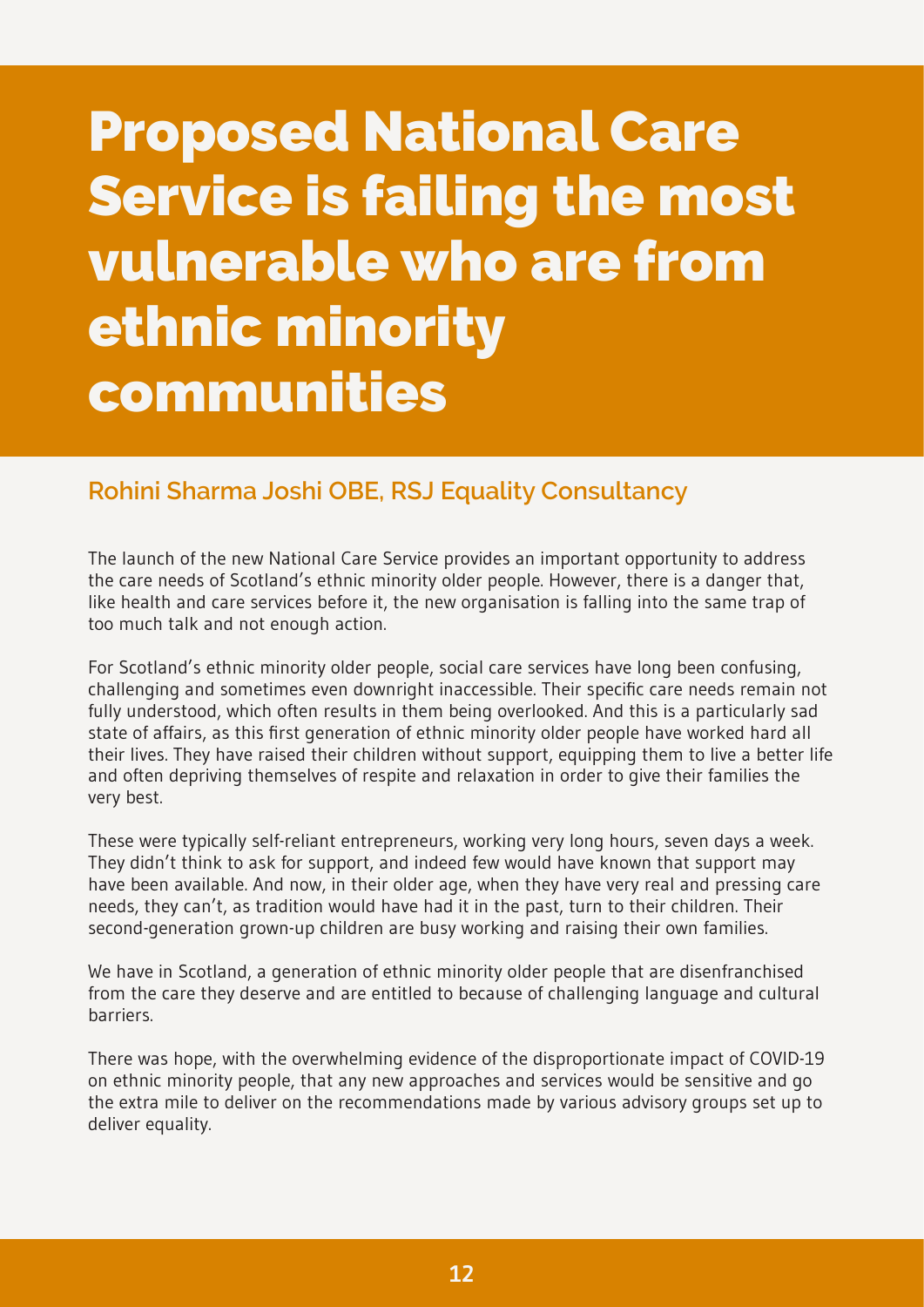## <span id="page-14-0"></span>**Proposed National Care Service is failing the most vulnerable who are from ethnic minority communities**

#### **Rohini Sharma Joshi OBE, RSJ Equality Consultancy**

The launch of the new National Care Service provides an important opportunity to address the care needs of Scotland's ethnic minority older people. However, there is a danger that, like health and care services before it, the new organisation is falling into the same trap of too much talk and not enough action.

For Scotland's ethnic minority older people, social care services have long been confusing, challenging and sometimes even downright inaccessible. Their specific care needs remain not fully understood, which often results in them being overlooked. And this is a particularly sad state of affairs, as this first generation of ethnic minority older people have worked hard all their lives. They have raised their children without support, equipping them to live a better life and often depriving themselves of respite and relaxation in order to give their families the very best.

These were typically self-reliant entrepreneurs, working very long hours, seven days a week. They didn't think to ask for support, and indeed few would have known that support may have been available. And now, in their older age, when they have very real and pressing care needs, they can't, as tradition would have had it in the past, turn to their children. Their second-generation grown-up children are busy working and raising their own families.

We have in Scotland, a generation of ethnic minority older people that are disenfranchised from the care they deserve and are entitled to because of challenging language and cultural barriers.

There was hope, with the overwhelming evidence of the disproportionate impact of COVID-19 on ethnic minority people, that any new approaches and services would be sensitive and go the extra mile to deliver on the recommendations made by various advisory groups set up to deliver equality.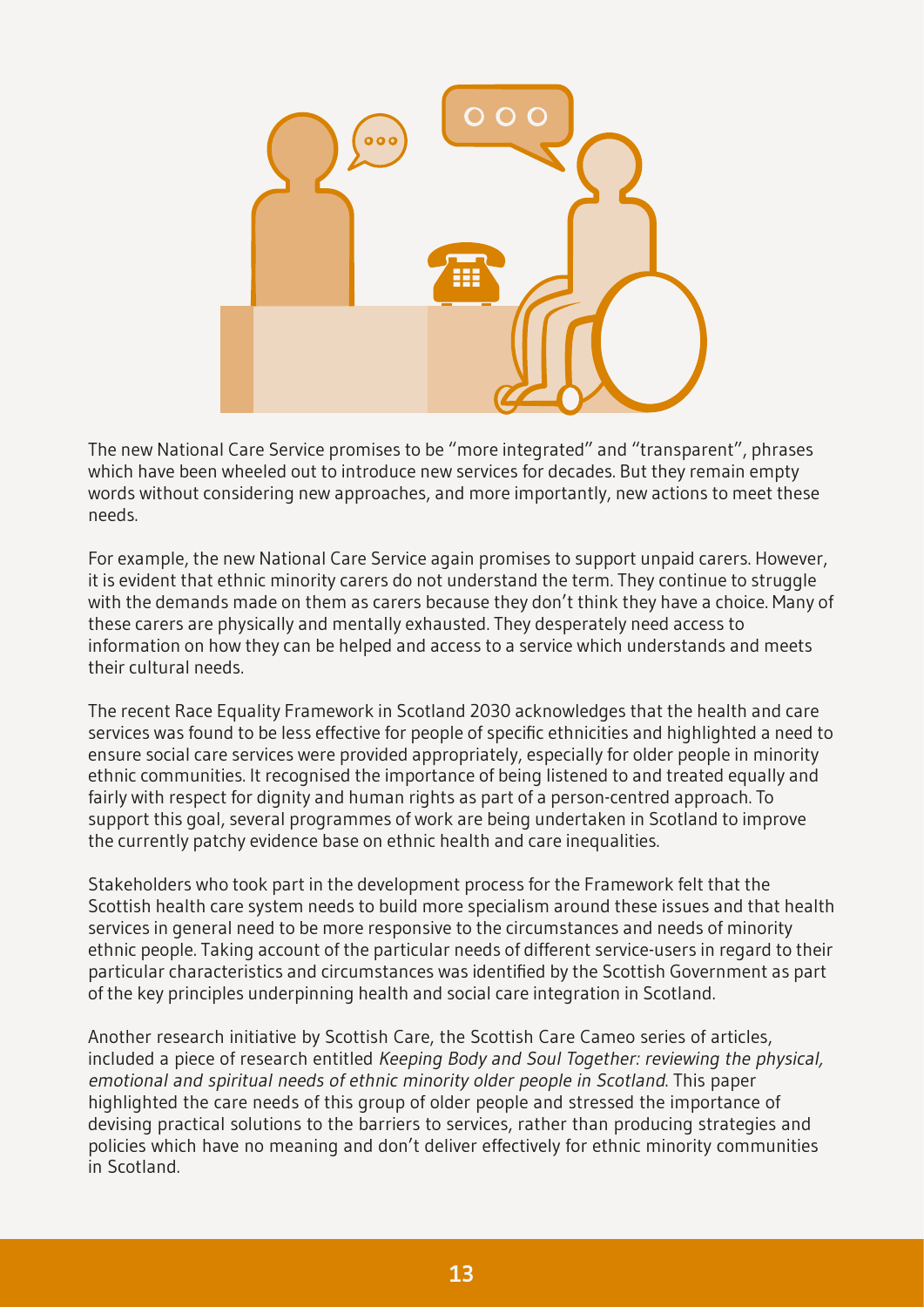

The new National Care Service promises to be "more integrated" and "transparent", phrases which have been wheeled out to introduce new services for decades. But they remain empty words without considering new approaches, and more importantly, new actions to meet these needs.

For example, the new National Care Service again promises to support unpaid carers. However, it is evident that ethnic minority carers do not understand the term. They continue to struggle with the demands made on them as carers because they don't think they have a choice. Many of these carers are physically and mentally exhausted. They desperately need access to information on how they can be helped and access to a service which understands and meets their cultural needs.

The recent Race Equality Framework in Scotland 2030 acknowledges that the health and care services was found to be less effective for people of specific ethnicities and highlighted a need to ensure social care services were provided appropriately, especially for older people in minority ethnic communities. It recognised the importance of being listened to and treated equally and fairly with respect for dignity and human rights as part of a person-centred approach. To support this goal, several programmes of work are being undertaken in Scotland to improve the currently patchy evidence base on ethnic health and care inequalities.

Stakeholders who took part in the development process for the Framework felt that the Scottish health care system needs to build more specialism around these issues and that health services in general need to be more responsive to the circumstances and needs of minority ethnic people. Taking account of the particular needs of different service-users in regard to their particular characteristics and circumstances was identified by the Scottish Government as part of the key principles underpinning health and social care integration in Scotland.

Another research initiative by Scottish Care, the Scottish Care Cameo series of articles, included a piece of research entitled Keeping Body and Soul Together: reviewing the physical, emotional and spiritual needs of ethnic minority older people in Scotland. This paper highlighted the care needs of this group of older people and stressed the importance of devising practical solutions to the barriers to services, rather than producing strategies and policies which have no meaning and don't deliver effectively for ethnic minority communities in Scotland.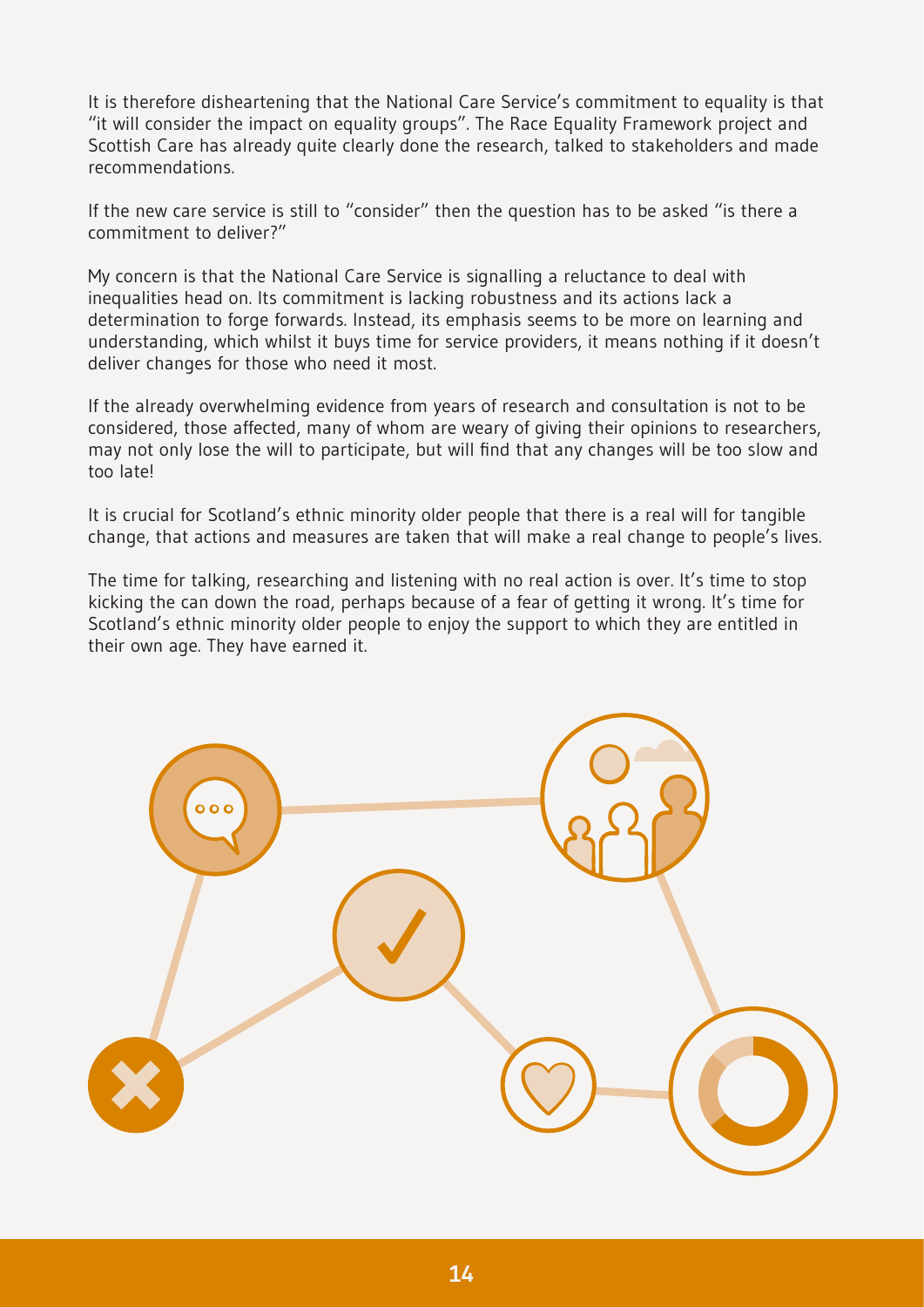It is therefore disheartening that the National Care Service's commitment to equality is that "it will consider the impact on equality groups". The Race Equality Framework project and Scottish Care has already quite clearly done the research, talked to stakeholders and made recommendations.

If the new care service is still to "consider" then the question has to be asked "is there a commitment to deliver?"

My concern is that the National Care Service is signalling a reluctance to deal with inequalities head on. Its commitment is lacking robustness and its actions lack a determination to forge forwards. Instead, its emphasis seems to be more on learning and understanding, which whilst it buys time for service providers, it means nothing if it doesn't deliver changes for those who need it most.

If the already overwhelming evidence from years of research and consultation is not to be considered, those affected, many of whom are weary of giving their opinions to researchers, may not only lose the will to participate, but will find that any changes will be too slow and too late!

It is crucial for Scotland's ethnic minority older people that there is a real will for tangible change, that actions and measures are taken that will make a real change to people's lives.

The time for talking, researching and listening with no real action is over. It's time to stop kicking the can down the road, perhaps because of a fear of getting it wrong. It's time for Scotland's ethnic minority older people to enjoy the support to which they are entitled in their own age. They have earned it.

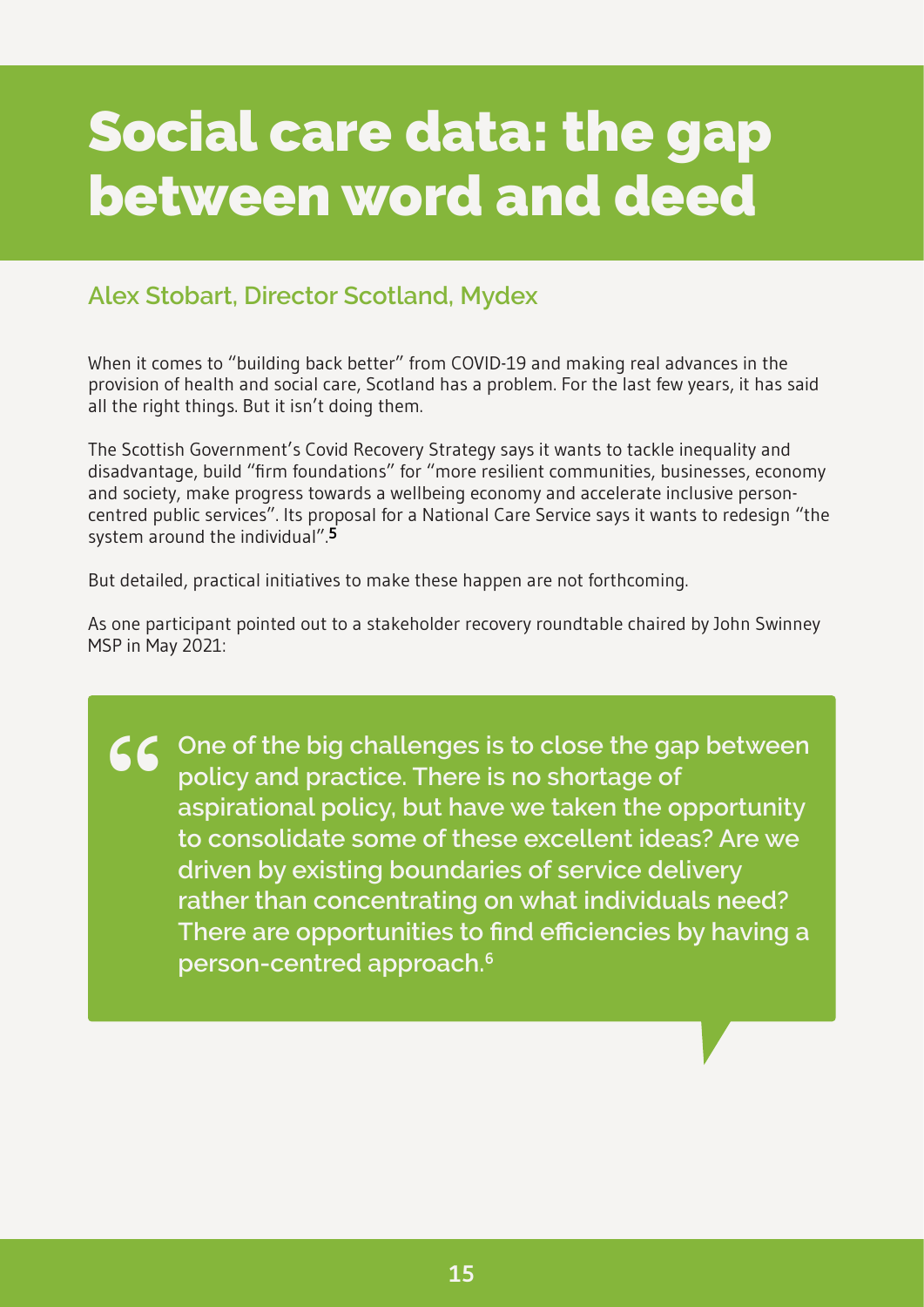### <span id="page-17-0"></span>**Social care data: the gap between word and deed**

#### **Alex Stobart, Director Scotland, Mydex**

When it comes to "building back better" from COVID-19 and making real advances in the provision of health and social care, Scotland has a problem. For the last few years, it has said all the right things. But it isn't doing them.

The Scottish Government's Covid Recovery Strategy says it wants to tackle inequality and disadvantage, build "firm foundations" for "more resilient communities, businesses, economy and society, make progress towards a wellbeing economy and accelerate inclusive personcentred public services". Its proposal for a National Care Service says it wants to redesign "the system around the individual".**[5](#page-31-1)**

But detailed, practical initiatives to make these happen are not forthcoming.

As one participant pointed out to a stakeholder recovery roundtable chaired by John Swinney MSP in May 2021:

CC One of the big challenges is to close the gap between policy and practice. There is no shortage of aspirational policy, but have we taken the opportunity **policy and practice. There is no shortage of aspirational policy, but have we taken the opportunity to consolidate some of these excellent ideas? Are we driven by existing boundaries of service delivery rather than concentrating on what individuals need? There are opportunities to find efficiencies by having a person-centred approach.[6](#page-31-1)**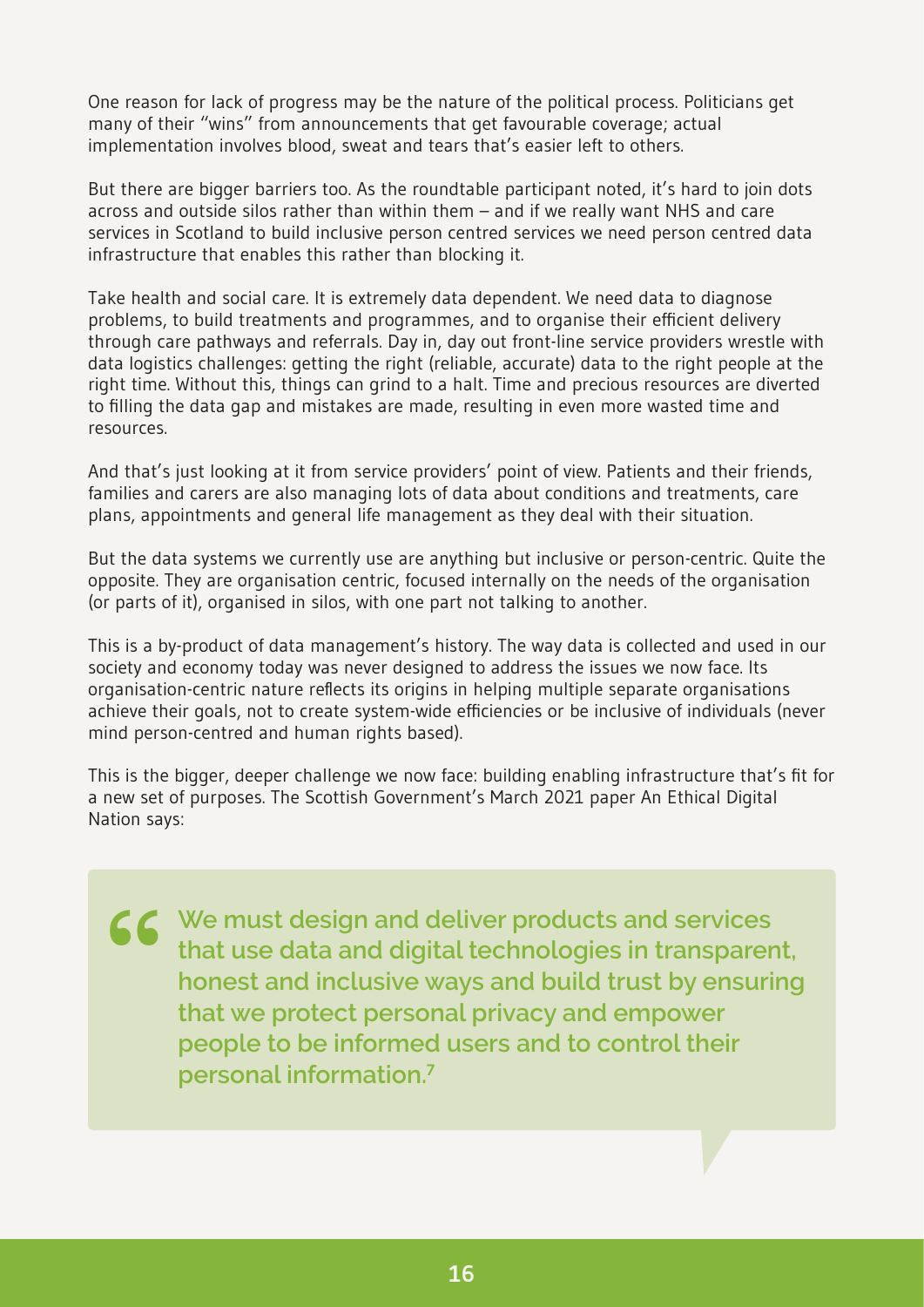One reason for lack of progress may be the nature of the political process. Politicians get many of their "wins" from announcements that get favourable coverage; actual implementation involves blood, sweat and tears that's easier left to others.

But there are bigger barriers too. As the roundtable participant noted, it's hard to join dots across and outside silos rather than within them – and if we really want NHS and care services in Scotland to build inclusive person centred services we need person centred data infrastructure that enables this rather than blocking it.

Take health and social care. It is extremely data dependent. We need data to diagnose problems, to build treatments and programmes, and to organise their efficient delivery through care pathways and referrals. Day in, day out front-line service providers wrestle with data logistics challenges: getting the right (reliable, accurate) data to the right people at the right time. Without this, things can grind to a halt. Time and precious resources are diverted to filling the data gap and mistakes are made, resulting in even more wasted time and resources.

And that's just looking at it from service providers' point of view. Patients and their friends, families and carers are also managing lots of data about conditions and treatments, care plans, appointments and general life management as they deal with their situation.

But the data systems we currently use are anything but inclusive or person-centric. Quite the opposite. They are organisation centric, focused internally on the needs of the organisation (or parts of it), organised in silos, with one part not talking to another.

This is a by-product of data management's history. The way data is collected and used in our society and economy today was never designed to address the issues we now face. Its organisation-centric nature reflects its origins in helping multiple separate organisations achieve their goals, not to create system-wide efficiencies or be inclusive of individuals (never mind person-centred and human rights based).

This is the bigger, deeper challenge we now face: building enabling infrastructure that's fit for a new set of purposes. The Scottish Government's March 2021 paper An Ethical Digital Nation says:

**We must design and deliver products and services that use data and digital technologies in transparent, honest and inclusive ways and build trust by ensuring that we protect personal privacy and empower people to be informed users and to control their personal information.[7](#page-31-1) "**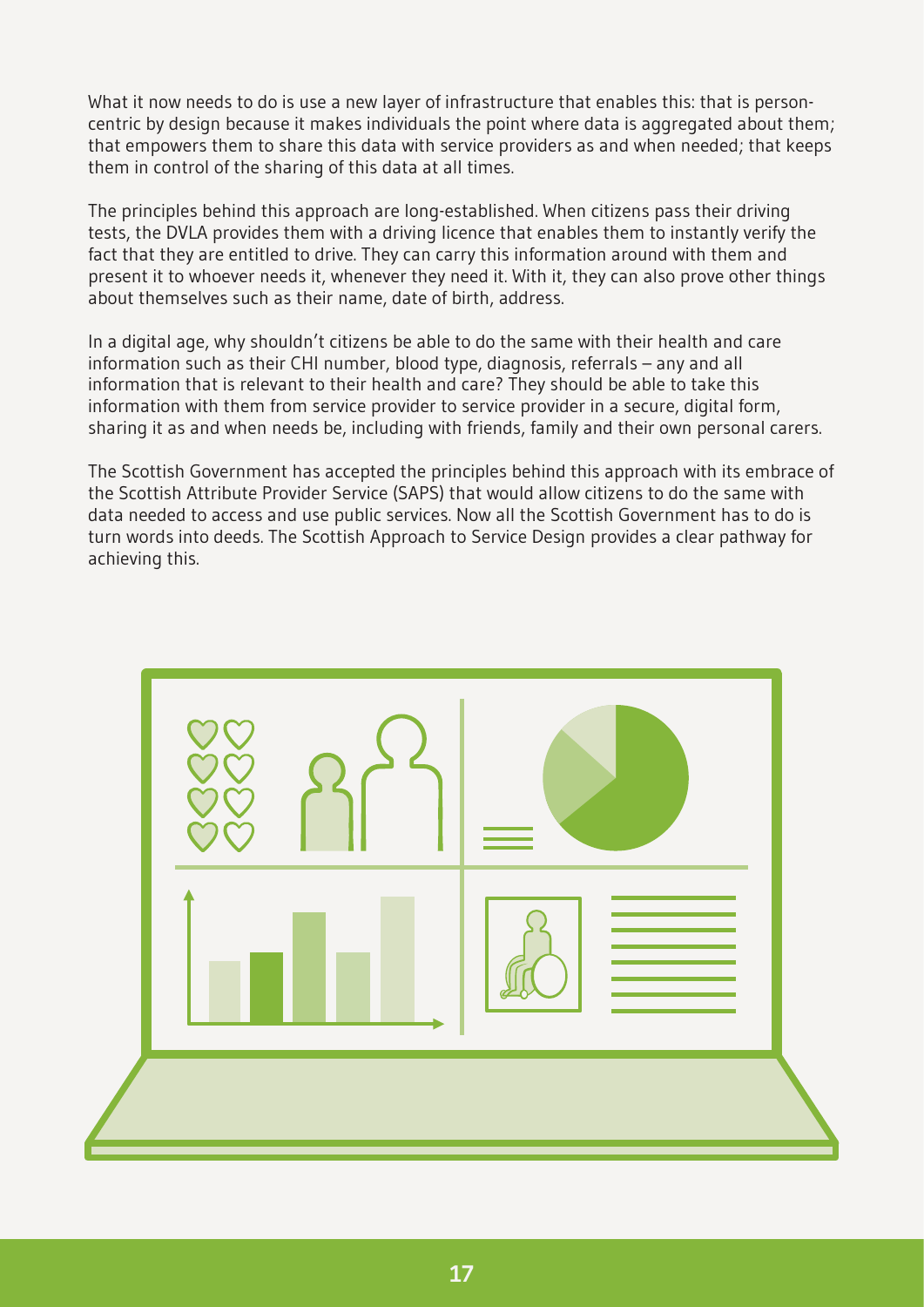What it now needs to do is use a new layer of infrastructure that enables this: that is personcentric by design because it makes individuals the point where data is aggregated about them; that empowers them to share this data with service providers as and when needed; that keeps them in control of the sharing of this data at all times.

The principles behind this approach are long-established. When citizens pass their driving tests, the DVLA provides them with a driving licence that enables them to instantly verify the fact that they are entitled to drive. They can carry this information around with them and present it to whoever needs it, whenever they need it. With it, they can also prove other things about themselves such as their name, date of birth, address.

In a digital age, why shouldn't citizens be able to do the same with their health and care information such as their CHI number, blood type, diagnosis, referrals – any and all information that is relevant to their health and care? They should be able to take this information with them from service provider to service provider in a secure, digital form, sharing it as and when needs be, including with friends, family and their own personal carers.

The Scottish Government has accepted the principles behind this approach with its embrace of the Scottish Attribute Provider Service (SAPS) that would allow citizens to do the same with data needed to access and use public services. Now all the Scottish Government has to do is turn words into deeds. The Scottish Approach to Service Design provides a clear pathway for achieving this.

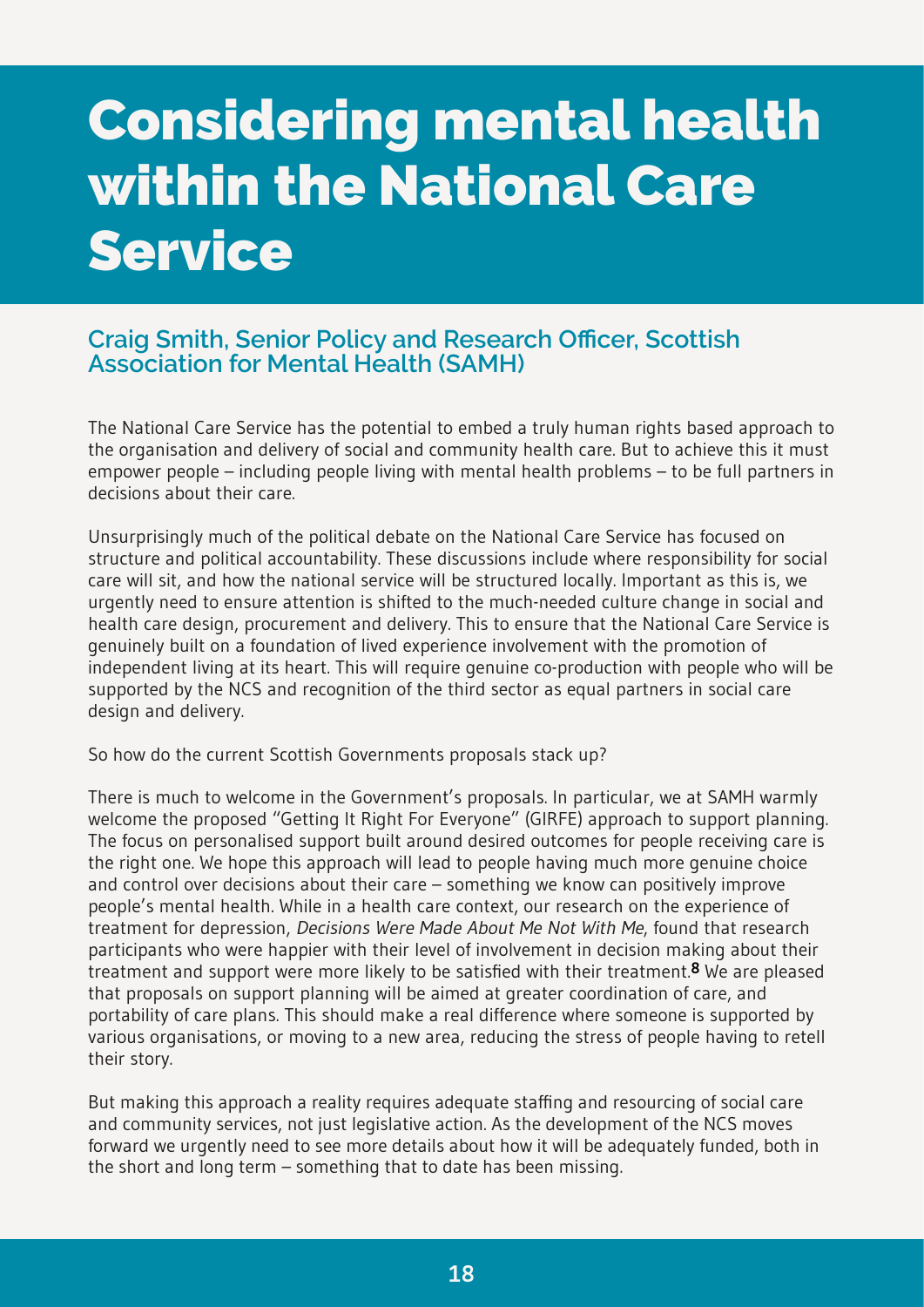# <span id="page-20-0"></span>**Considering mental health within the National Care Service**

#### **Craig Smith, Senior Policy and Research Officer, Scottish Association for Mental Health (SAMH)**

The National Care Service has the potential to embed a truly human rights based approach to the organisation and delivery of social and community health care. But to achieve this it must empower people – including people living with mental health problems – to be full partners in decisions about their care.

Unsurprisingly much of the political debate on the National Care Service has focused on structure and political accountability. These discussions include where responsibility for social care will sit, and how the national service will be structured locally. Important as this is, we urgently need to ensure attention is shifted to the much-needed culture change in social and health care design, procurement and delivery. This to ensure that the National Care Service is genuinely built on a foundation of lived experience involvement with the promotion of independent living at its heart. This will require genuine co-production with people who will be supported by the NCS and recognition of the third sector as equal partners in social care design and delivery.

So how do the current Scottish Governments proposals stack up?

There is much to welcome in the Government's proposals. In particular, we at SAMH warmly welcome the proposed "Getting It Right For Everyone" (GIRFE) approach to support planning. The focus on personalised support built around desired outcomes for people receiving care is the right one. We hope this approach will lead to people having much more genuine choice and control over decisions about their care – something we know can positively improve people's mental health. While in a health care context, our research on the experience of treatment for depression, Decisions Were Made About Me Not With Me, found that research participants who were happier with their level of involvement in decision making about their treatment and support were more likely to be satisfied with their treatment.**[8](#page-31-1)** We are pleased that proposals on support planning will be aimed at greater coordination of care, and portability of care plans. This should make a real difference where someone is supported by various organisations, or moving to a new area, reducing the stress of people having to retell their story.

But making this approach a reality requires adequate staffing and resourcing of social care and community services, not just legislative action. As the development of the NCS moves forward we urgently need to see more details about how it will be adequately funded, both in the short and long term – something that to date has been missing.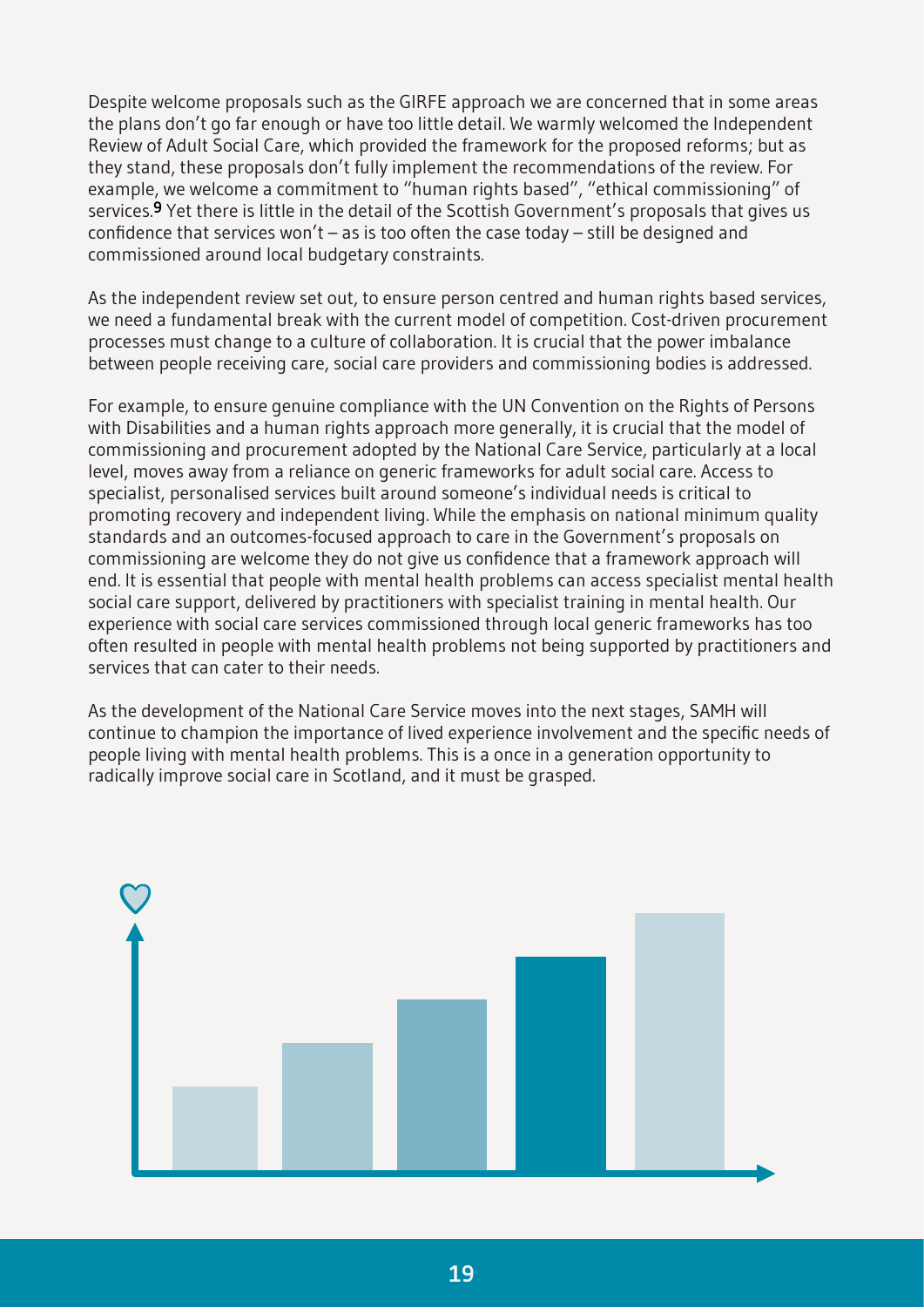Despite welcome proposals such as the GIRFE approach we are concerned that in some areas the plans don't go far enough or have too little detail. We warmly welcomed the Independent Review of Adult Social Care, which provided the framework for the proposed reforms; but as they stand, these proposals don't fully implement the recommendations of the review. For example, we welcome a commitment to "human rights based", "ethical commissioning" of services.**[9](#page-31-1)** Yet there is little in the detail of the Scottish Government's proposals that gives us confidence that services won't – as is too often the case today – still be designed and commissioned around local budgetary constraints.

As the independent review set out, to ensure person centred and human rights based services, we need a fundamental break with the current model of competition. Cost-driven procurement processes must change to a culture of collaboration. It is crucial that the power imbalance between people receiving care, social care providers and commissioning bodies is addressed.

For example, to ensure genuine compliance with the UN Convention on the Rights of Persons with Disabilities and a human rights approach more generally, it is crucial that the model of commissioning and procurement adopted by the National Care Service, particularly at a local level, moves away from a reliance on generic frameworks for adult social care. Access to specialist, personalised services built around someone's individual needs is critical to promoting recovery and independent living. While the emphasis on national minimum quality standards and an outcomes-focused approach to care in the Government's proposals on commissioning are welcome they do not give us confidence that a framework approach will end. It is essential that people with mental health problems can access specialist mental health social care support, delivered by practitioners with specialist training in mental health. Our experience with social care services commissioned through local generic frameworks has too often resulted in people with mental health problems not being supported by practitioners and services that can cater to their needs.

As the development of the National Care Service moves into the next stages, SAMH will continue to champion the importance of lived experience involvement and the specific needs of people living with mental health problems. This is a once in a generation opportunity to radically improve social care in Scotland, and it must be grasped.

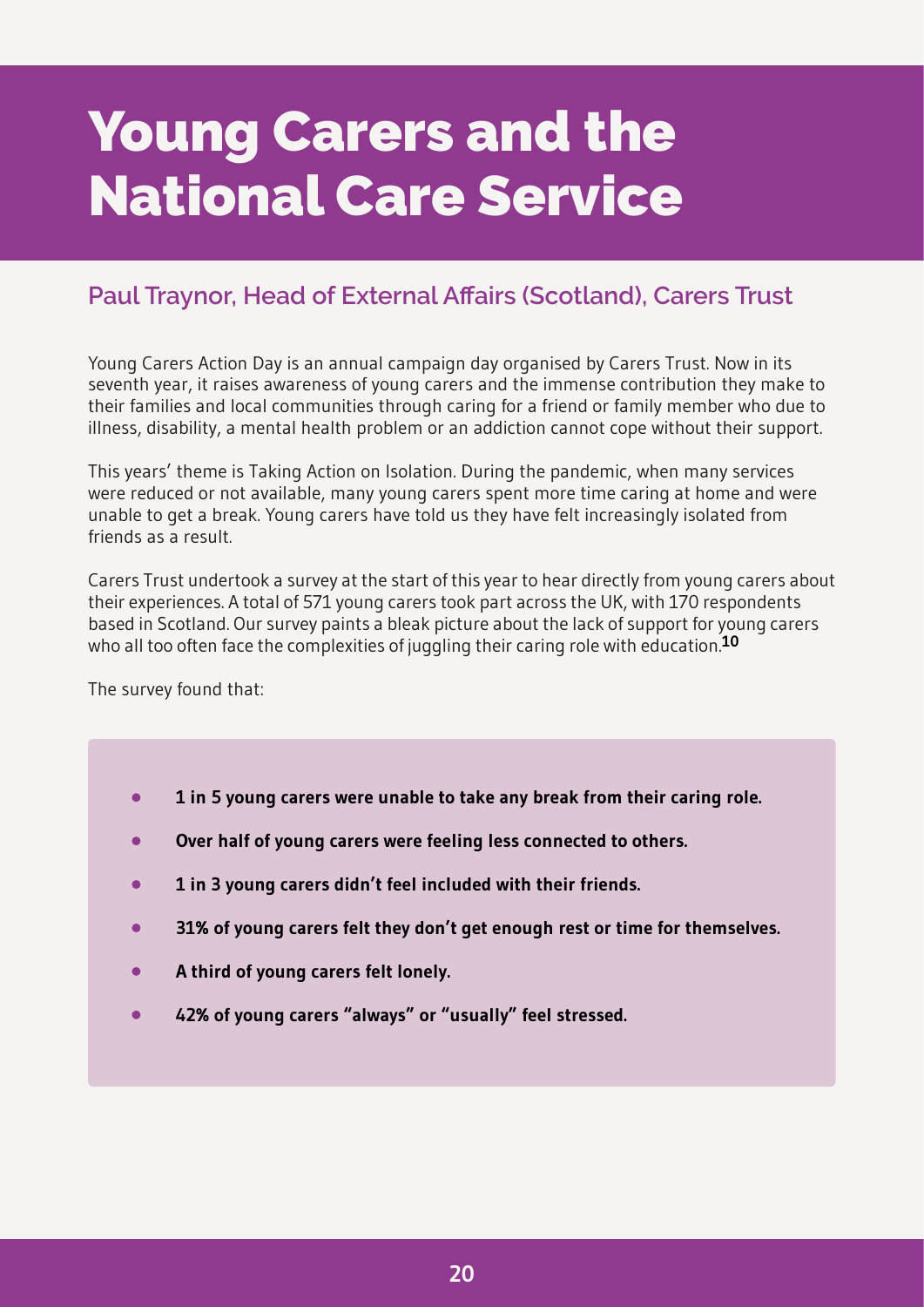### <span id="page-22-0"></span>**Young Carers and the National Care Service**

#### **Paul Traynor, Head of External Affairs (Scotland), Carers Trust**

Young Carers Action Day is an annual campaign day organised by Carers Trust. Now in its seventh year, it raises awareness of young carers and the immense contribution they make to their families and local communities through caring for a friend or family member who due to illness, disability, a mental health problem or an addiction cannot cope without their support.

This years' theme is Taking Action on Isolation. During the pandemic, when many services were reduced or not available, many young carers spent more time caring at home and were unable to get a break. Young carers have told us they have felt increasingly isolated from friends as a result.

Carers Trust undertook a survey at the start of this year to hear directly from young carers about their experiences. A total of 571 young carers took part across the UK, with 170 respondents based in Scotland. Our survey paints a bleak picture about the lack of support for young carers who all too often face the complexities of juggling their caring role with education.**[10](#page-31-1)**

The survey found that:

- $\bullet$ **1 in 5 young carers were unable to take any break from their caring role.**
- **Over half of young carers were feeling less connected to others.**
- **1 in 3 young carers didn't feel included with their friends.**
- **31% of young carers felt they don't get enough rest or time for themselves.**
- **A third of young carers felt lonely.**
- **42% of young carers "always" or "usually" feel stressed.**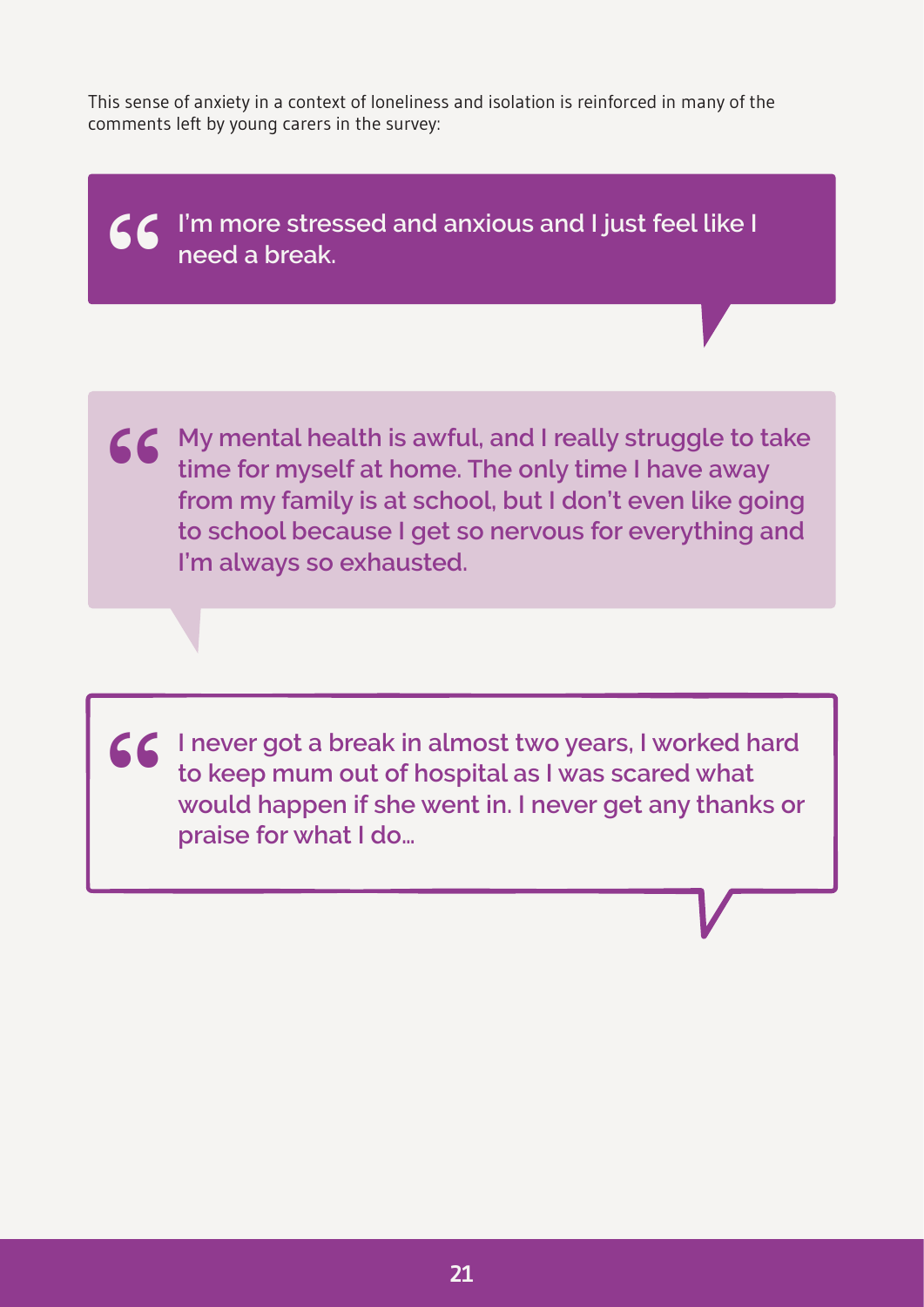This sense of anxiety in a context of loneliness and isolation is reinforced in many of the comments left by young carers in the survey:

**I'm more stressed and anxious and I just feel like I need a break. "**

**66** My mental health is awful, and I really struggle to take<br>time for myself at home. The only time I have away<br>from my family is at school, but I don't even like going **time for myself at home. The only time I have away from my family is at school, but I don't even like going to school because I get so nervous for everything and I'm always so exhausted.**

**I** never got a break in almost two years, I worked hard<br>to keep mum out of hospital as I was scared what<br>would happen if she went in. I never get any thanks of **to keep mum out of hospital as I was scared what would happen if she went in. I never get any thanks or praise for what I do…**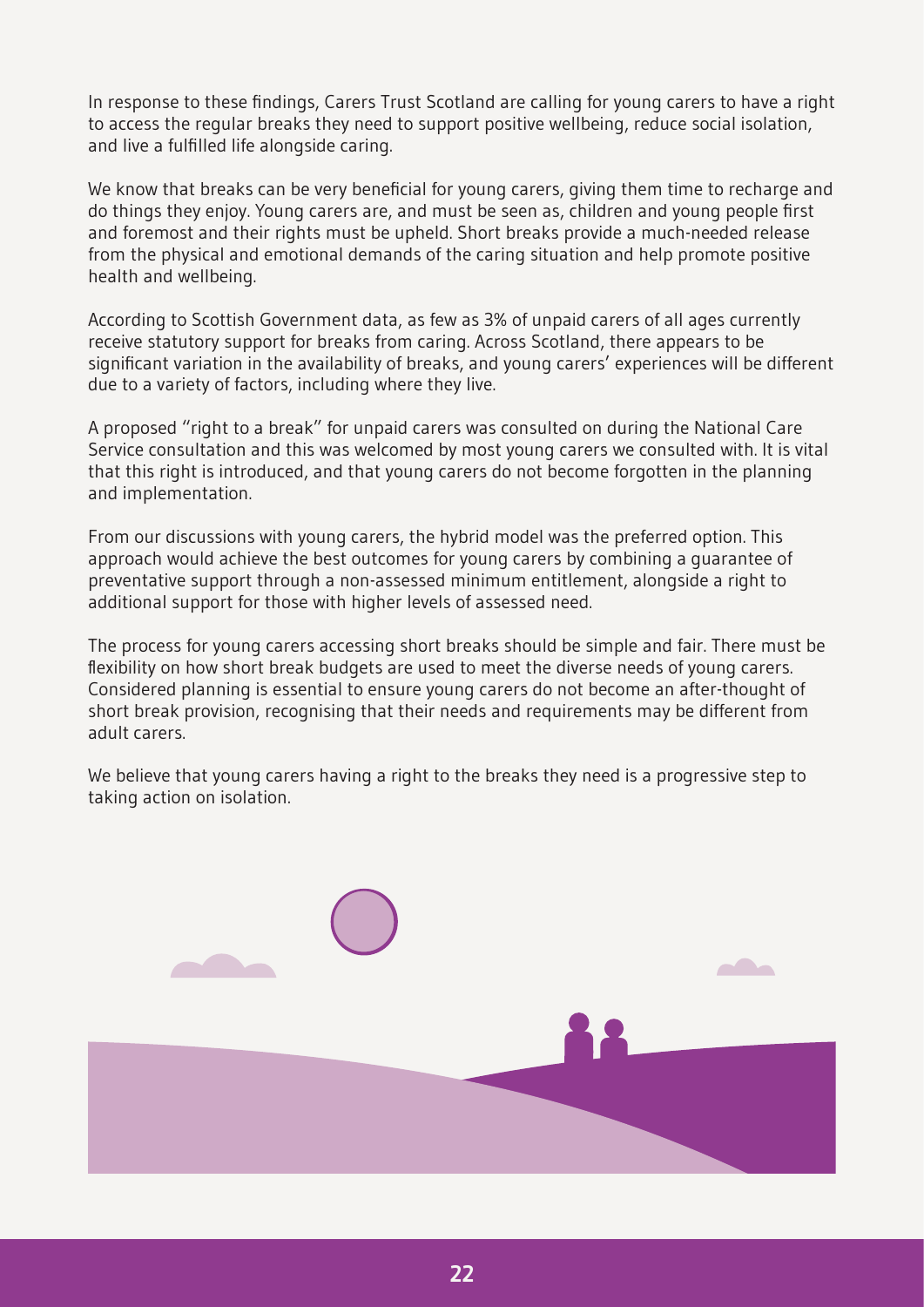In response to these findings, Carers Trust Scotland are calling for young carers to have a right to access the regular breaks they need to support positive wellbeing, reduce social isolation, and live a fulfilled life alongside caring.

We know that breaks can be very beneficial for young carers, giving them time to recharge and do things they enjoy. Young carers are, and must be seen as, children and young people first and foremost and their rights must be upheld. Short breaks provide a much-needed release from the physical and emotional demands of the caring situation and help promote positive health and wellbeing.

According to Scottish Government data, as few as 3% of unpaid carers of all ages currently receive statutory support for breaks from caring. Across Scotland, there appears to be significant variation in the availability of breaks, and young carers' experiences will be different due to a variety of factors, including where they live.

A proposed "right to a break" for unpaid carers was consulted on during the National Care Service consultation and this was welcomed by most young carers we consulted with. It is vital that this right is introduced, and that young carers do not become forgotten in the planning and implementation.

From our discussions with young carers, the hybrid model was the preferred option. This approach would achieve the best outcomes for young carers by combining a guarantee of preventative support through a non-assessed minimum entitlement, alongside a right to additional support for those with higher levels of assessed need.

The process for young carers accessing short breaks should be simple and fair. There must be flexibility on how short break budgets are used to meet the diverse needs of young carers. Considered planning is essential to ensure young carers do not become an after-thought of short break provision, recognising that their needs and requirements may be different from adult carers.

We believe that young carers having a right to the breaks they need is a progressive step to taking action on isolation.

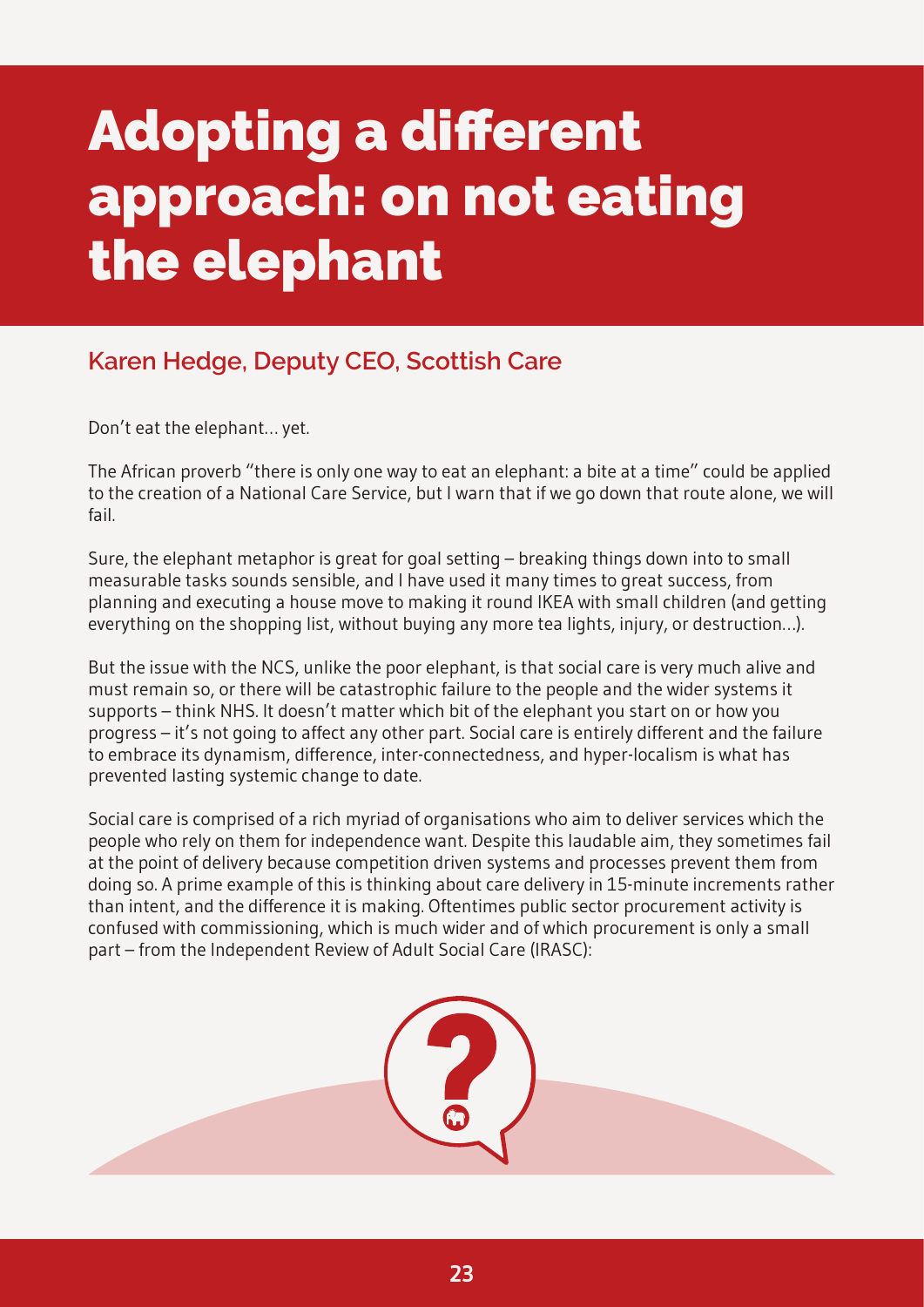# <span id="page-25-0"></span>**Adopting a different approach: on not eating the elephant**

#### **Karen Hedge, Deputy CEO, Scottish Care**

Don't eat the elephant… yet.

The African proverb "there is only one way to eat an elephant: a bite at a time" could be applied to the creation of a National Care Service, but I warn that if we go down that route alone, we will fail.

Sure, the elephant metaphor is great for goal setting – breaking things down into to small measurable tasks sounds sensible, and I have used it many times to great success, from planning and executing a house move to making it round IKEA with small children (and getting everything on the shopping list, without buying any more tea lights, injury, or destruction…).

But the issue with the NCS, unlike the poor elephant, is that social care is very much alive and must remain so, or there will be catastrophic failure to the people and the wider systems it supports – think NHS. It doesn't matter which bit of the elephant you start on or how you progress – it's not going to affect any other part. Social care is entirely different and the failure to embrace its dynamism, difference, inter-connectedness, and hyper-localism is what has prevented lasting systemic change to date.

Social care is comprised of a rich myriad of organisations who aim to deliver services which the people who rely on them for independence want. Despite this laudable aim, they sometimes fail at the point of delivery because competition driven systems and processes prevent them from doing so. A prime example of this is thinking about care delivery in 15-minute increments rather than intent, and the difference it is making. Oftentimes public sector procurement activity is confused with commissioning, which is much wider and of which procurement is only a small part – from the Independent Review of Adult Social Care (IRASC):

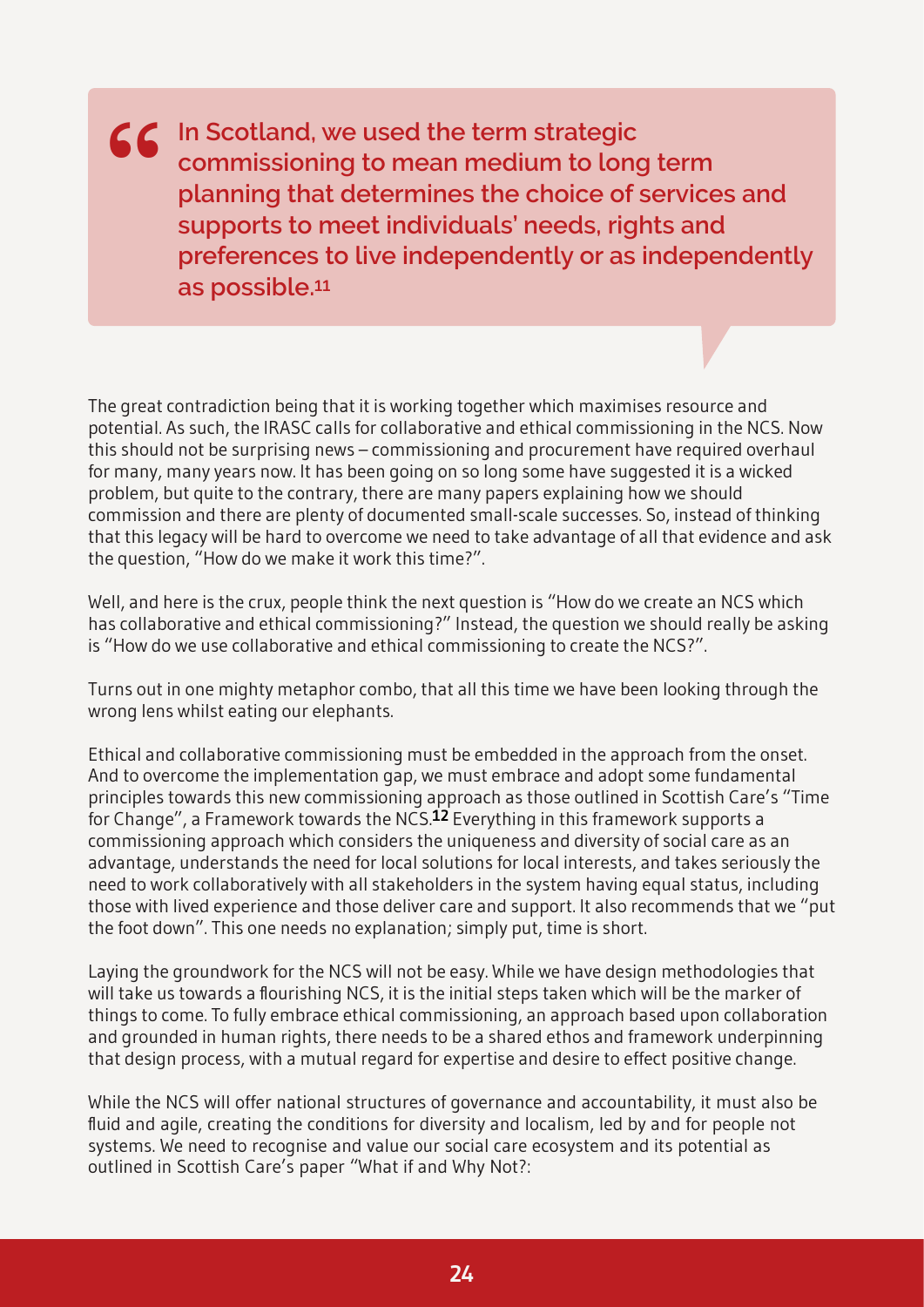**IEC** In Scotland, we used the term strategic<br>
commissioning to mean medium to lon<br>
planning that determines the choice of **commissioning to mean medium to long term planning that determines the choice of services and supports to meet individuals' needs, rights and preferences to live independently or as independently as possible.[11](#page-31-1)**

The great contradiction being that it is working together which maximises resource and potential. As such, the IRASC calls for collaborative and ethical commissioning in the NCS. Now this should not be surprising news – commissioning and procurement have required overhaul for many, many years now. It has been going on so long some have suggested it is a wicked problem, but quite to the contrary, there are many papers explaining how we should commission and there are plenty of documented small-scale successes. So, instead of thinking that this legacy will be hard to overcome we need to take advantage of all that evidence and ask the question, "How do we make it work this time?".

Well, and here is the crux, people think the next question is "How do we create an NCS which has collaborative and ethical commissioning?" Instead, the question we should really be asking is "How do we use collaborative and ethical commissioning to create the NCS?".

Turns out in one mighty metaphor combo, that all this time we have been looking through the wrong lens whilst eating our elephants.

Ethical and collaborative commissioning must be embedded in the approach from the onset. And to overcome the implementation gap, we must embrace and adopt some fundamental principles towards this new commissioning approach as those outlined in Scottish Care's "Time for Change", a Framework towards the NCS.**[12](#page-31-1)** Everything in this framework supports a commissioning approach which considers the uniqueness and diversity of social care as an advantage, understands the need for local solutions for local interests, and takes seriously the need to work collaboratively with all stakeholders in the system having equal status, including those with lived experience and those deliver care and support. It also recommends that we "put the foot down". This one needs no explanation; simply put, time is short.

Laying the groundwork for the NCS will not be easy. While we have design methodologies that will take us towards a flourishing NCS, it is the initial steps taken which will be the marker of things to come. To fully embrace ethical commissioning, an approach based upon collaboration and grounded in human rights, there needs to be a shared ethos and framework underpinning that design process, with a mutual regard for expertise and desire to effect positive change.

While the NCS will offer national structures of governance and accountability, it must also be fluid and agile, creating the conditions for diversity and localism, led by and for people not systems. We need to recognise and value our social care ecosystem and its potential as outlined in Scottish Care's paper "What if and Why Not?: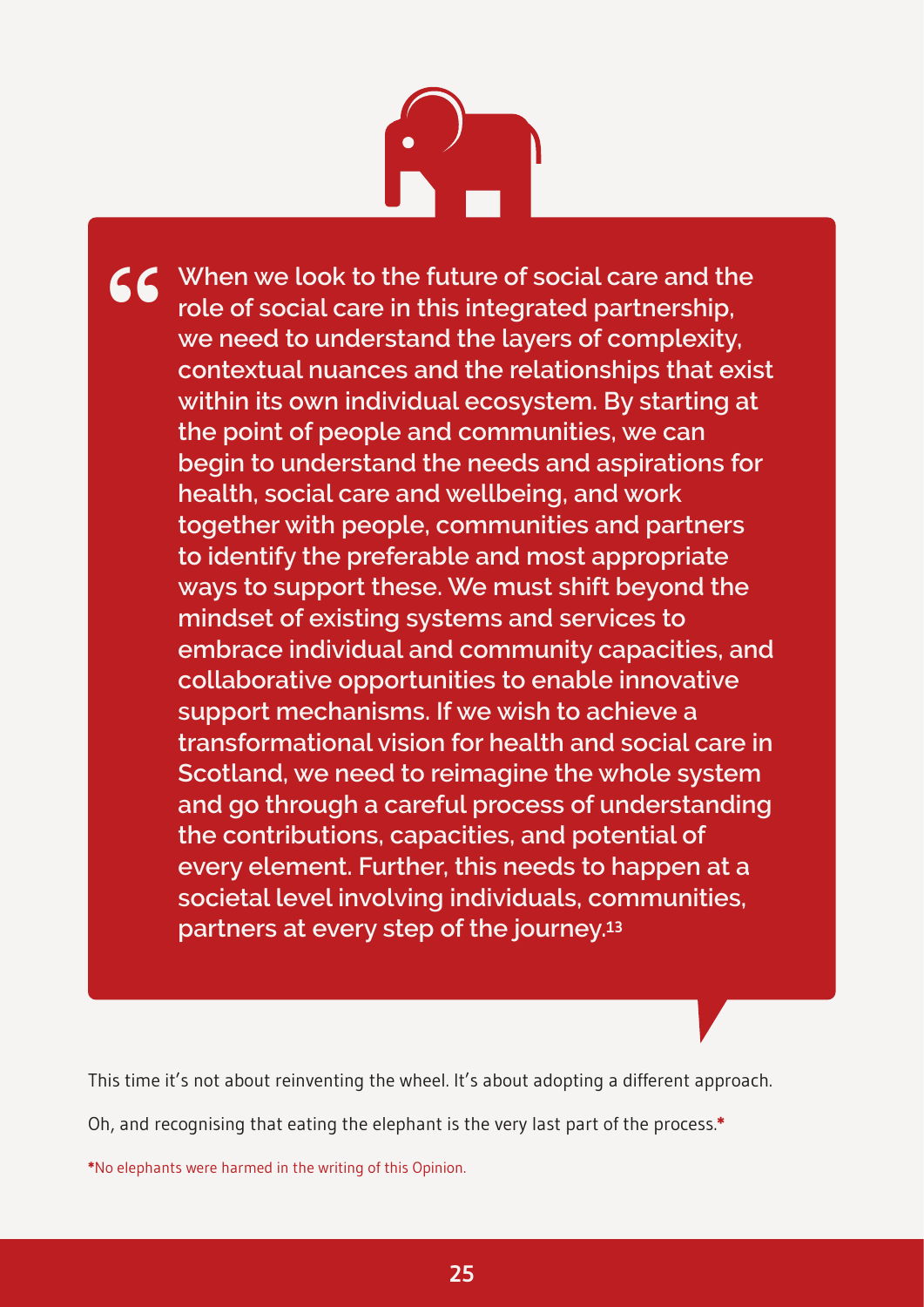# $\begin{pmatrix} 1 \\ -1 \end{pmatrix}$

**CC** When we look to the future of social care and the role of social care in this integrated partnership, we need to understand the layers of complexity, **role of social care in this integrated partnership, we need to understand the layers of complexity, contextual nuances and the relationships that exist within its own individual ecosystem. By starting at the point of people and communities, we can begin to understand the needs and aspirations for health, social care and wellbeing, and work together with people, communities and partners to identify the preferable and most appropriate ways to support these. We must shift beyond the mindset of existing systems and services to embrace individual and community capacities, and collaborative opportunities to enable innovative support mechanisms. If we wish to achieve a transformational vision for health and social care in Scotland, we need to reimagine the whole system and go through a careful process of understanding the contributions, capacities, and potential of every element. Further, this needs to happen at a societal level involving individuals, communities, partners at every step of the journey.[13](#page-31-1)**

This time it's not about reinventing the wheel. It's about adopting a different approach.

Oh, and recognising that eating the elephant is the very last part of the process.**\***

**\***No elephants were harmed in the writing of this Opinion.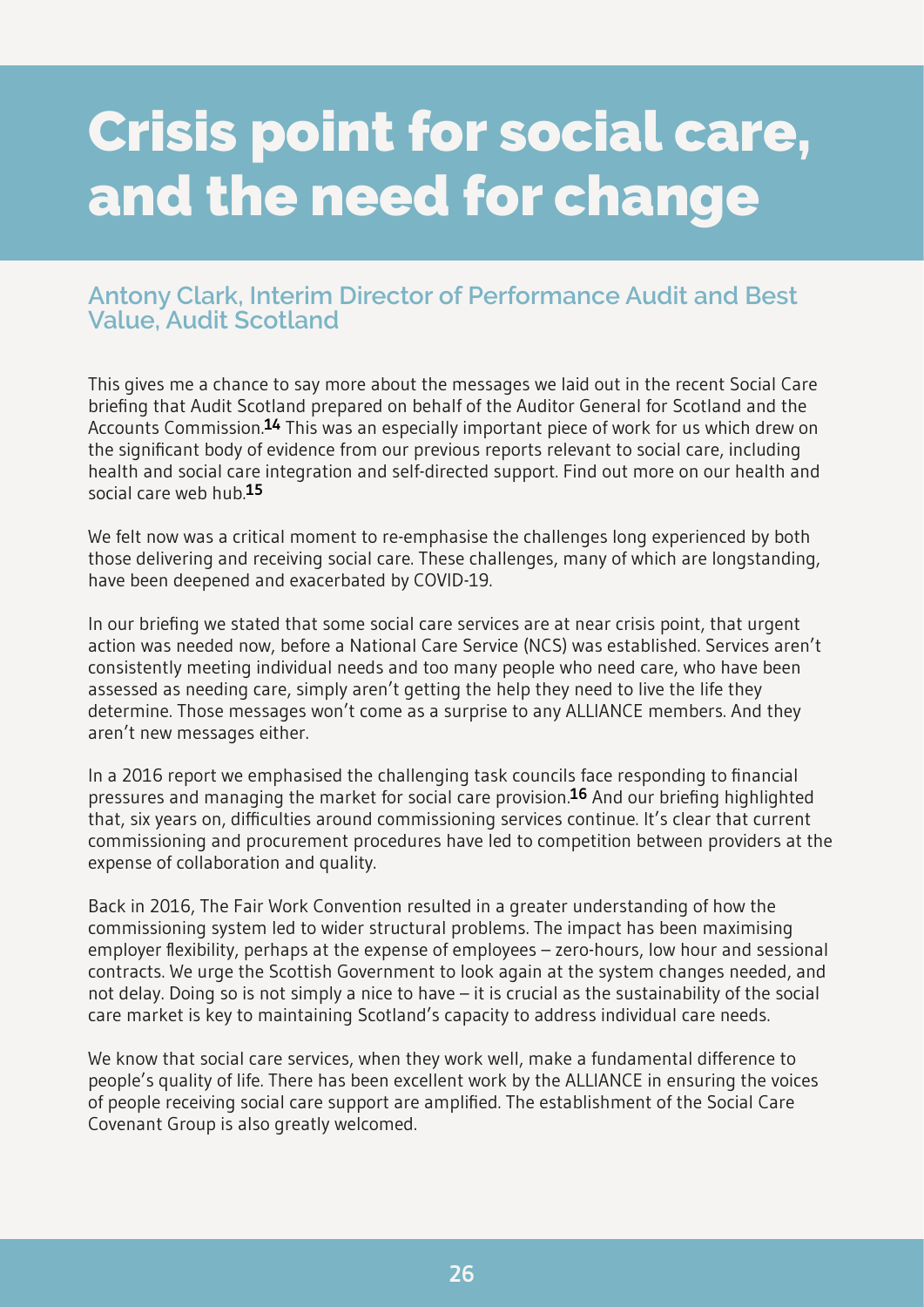### <span id="page-28-0"></span>**Crisis point for social care, and the need for change**

#### **Antony Clark, Interim Director of Performance Audit and Best Value, Audit Scotland**

This gives me a chance to say more about the messages we laid out in the recent Social Care briefing that Audit Scotland prepared on behalf of the Auditor General for Scotland and the Accounts Commission.**[14](#page-31-1)** This was an especially important piece of work for us which drew on the significant body of evidence from our previous reports relevant to social care, including health and social care integration and self-directed support. Find out more on our health and social care web hub.**[15](#page-31-1)**

We felt now was a critical moment to re-emphasise the challenges long experienced by both those delivering and receiving social care. These challenges, many of which are longstanding, have been deepened and exacerbated by COVID-19.

In our briefing we stated that some social care services are at near crisis point, that urgent action was needed now, before a National Care Service (NCS) was established. Services aren't consistently meeting individual needs and too many people who need care, who have been assessed as needing care, simply aren't getting the help they need to live the life they determine. Those messages won't come as a surprise to any ALLIANCE members. And they aren't new messages either.

In a 2016 report we emphasised the challenging task councils face responding to financial pressures and managing the market for social care provision.**[16](#page-31-1)** And our briefing highlighted that, six years on, difficulties around commissioning services continue. It's clear that current commissioning and procurement procedures have led to competition between providers at the expense of collaboration and quality.

Back in 2016, The Fair Work Convention resulted in a greater understanding of how the commissioning system led to wider structural problems. The impact has been maximising employer flexibility, perhaps at the expense of employees – zero-hours, low hour and sessional contracts. We urge the Scottish Government to look again at the system changes needed, and not delay. Doing so is not simply a nice to have – it is crucial as the sustainability of the social care market is key to maintaining Scotland's capacity to address individual care needs.

We know that social care services, when they work well, make a fundamental difference to people's quality of life. There has been excellent work by the ALLIANCE in ensuring the voices of people receiving social care support are amplified. The establishment of the Social Care Covenant Group is also greatly welcomed.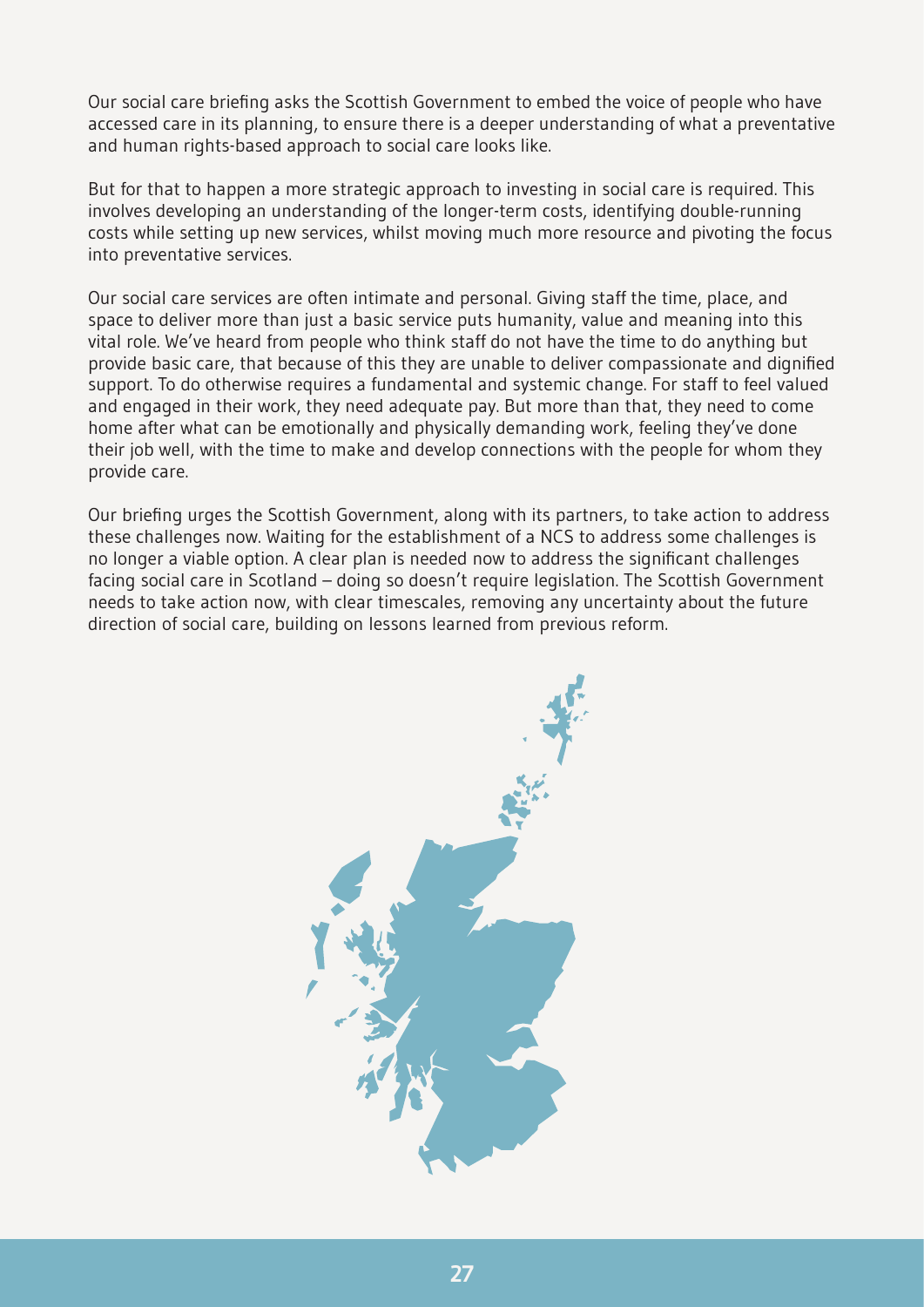Our social care briefing asks the Scottish Government to embed the voice of people who have accessed care in its planning, to ensure there is a deeper understanding of what a preventative and human rights-based approach to social care looks like.

But for that to happen a more strategic approach to investing in social care is required. This involves developing an understanding of the longer-term costs, identifying double-running costs while setting up new services, whilst moving much more resource and pivoting the focus into preventative services.

Our social care services are often intimate and personal. Giving staff the time, place, and space to deliver more than just a basic service puts humanity, value and meaning into this vital role. We've heard from people who think staff do not have the time to do anything but provide basic care, that because of this they are unable to deliver compassionate and dignified support. To do otherwise requires a fundamental and systemic change. For staff to feel valued and engaged in their work, they need adequate pay. But more than that, they need to come home after what can be emotionally and physically demanding work, feeling they've done their job well, with the time to make and develop connections with the people for whom they provide care.

Our briefing urges the Scottish Government, along with its partners, to take action to address these challenges now. Waiting for the establishment of a NCS to address some challenges is no longer a viable option. A clear plan is needed now to address the significant challenges facing social care in Scotland – doing so doesn't require legislation. The Scottish Government needs to take action now, with clear timescales, removing any uncertainty about the future direction of social care, building on lessons learned from previous reform.

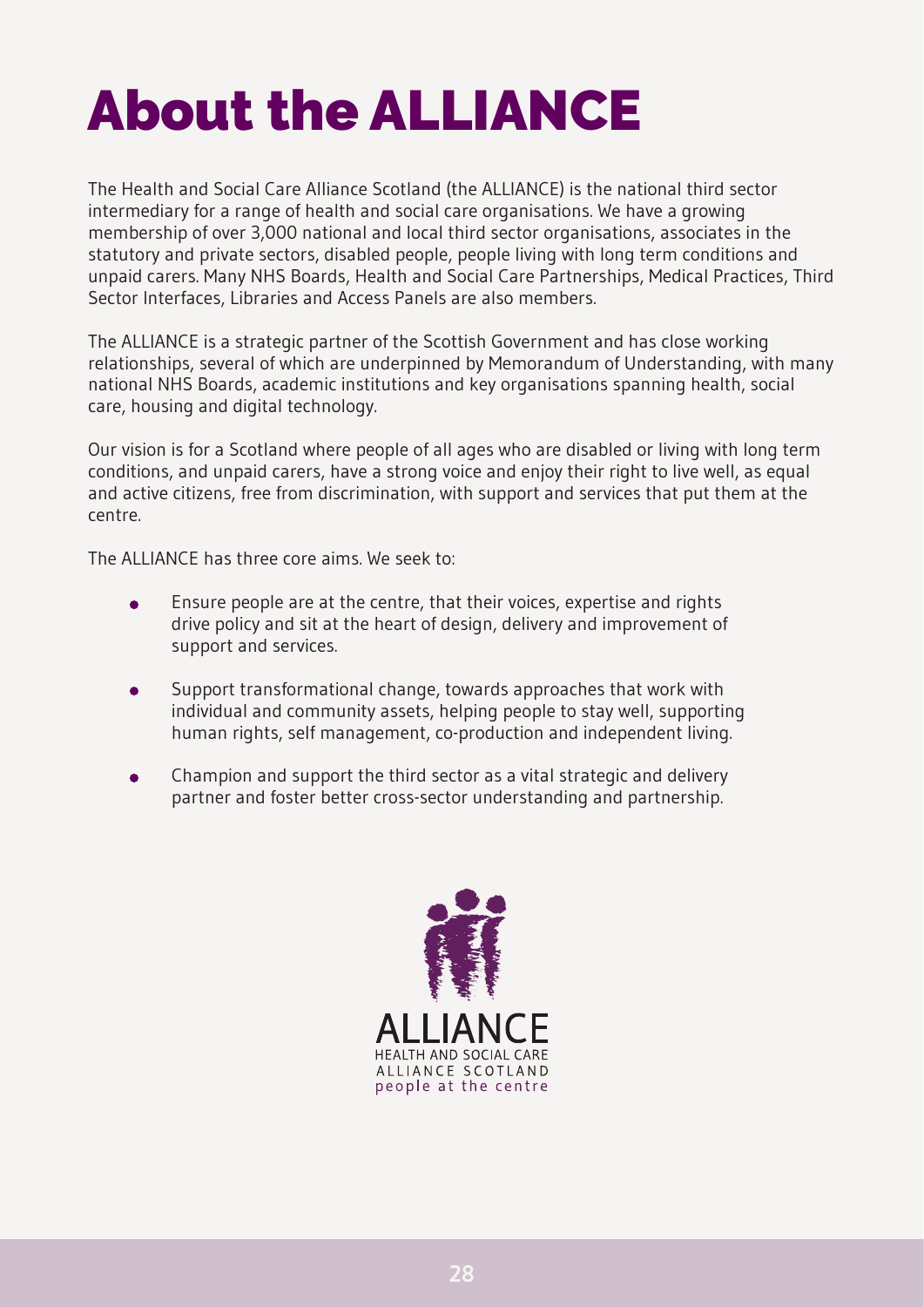# <span id="page-30-0"></span>**About the ALLIANCE**

The Health and Social Care Alliance Scotland (the ALLIANCE) is the national third sector intermediary for a range of health and social care organisations. We have a growing membership of over 3,000 national and local third sector organisations, associates in the statutory and private sectors, disabled people, people living with long term conditions and unpaid carers. Many NHS Boards, Health and Social Care Partnerships, Medical Practices, Third Sector Interfaces, Libraries and Access Panels are also members.

The ALLIANCE is a strategic partner of the Scottish Government and has close working relationships, several of which are underpinned by Memorandum of Understanding, with many national NHS Boards, academic institutions and key organisations spanning health, social care, housing and digital technology.

Our vision is for a Scotland where people of all ages who are disabled or living with long term conditions, and unpaid carers, have a strong voice and enjoy their right to live well, as equal and active citizens, free from discrimination, with support and services that put them at the centre.

The ALLIANCE has three core aims. We seek to:

- Ensure people are at the centre, that their voices, expertise and rights  $\bullet$ drive policy and sit at the heart of design, delivery and improvement of support and services.
- Support transformational change, towards approaches that work with  $\bullet$ individual and community assets, helping people to stay well, supporting human rights, self management, co-production and independent living.
- Champion and support the third sector as a vital strategic and delivery partner and foster better cross-sector understanding and partnership.

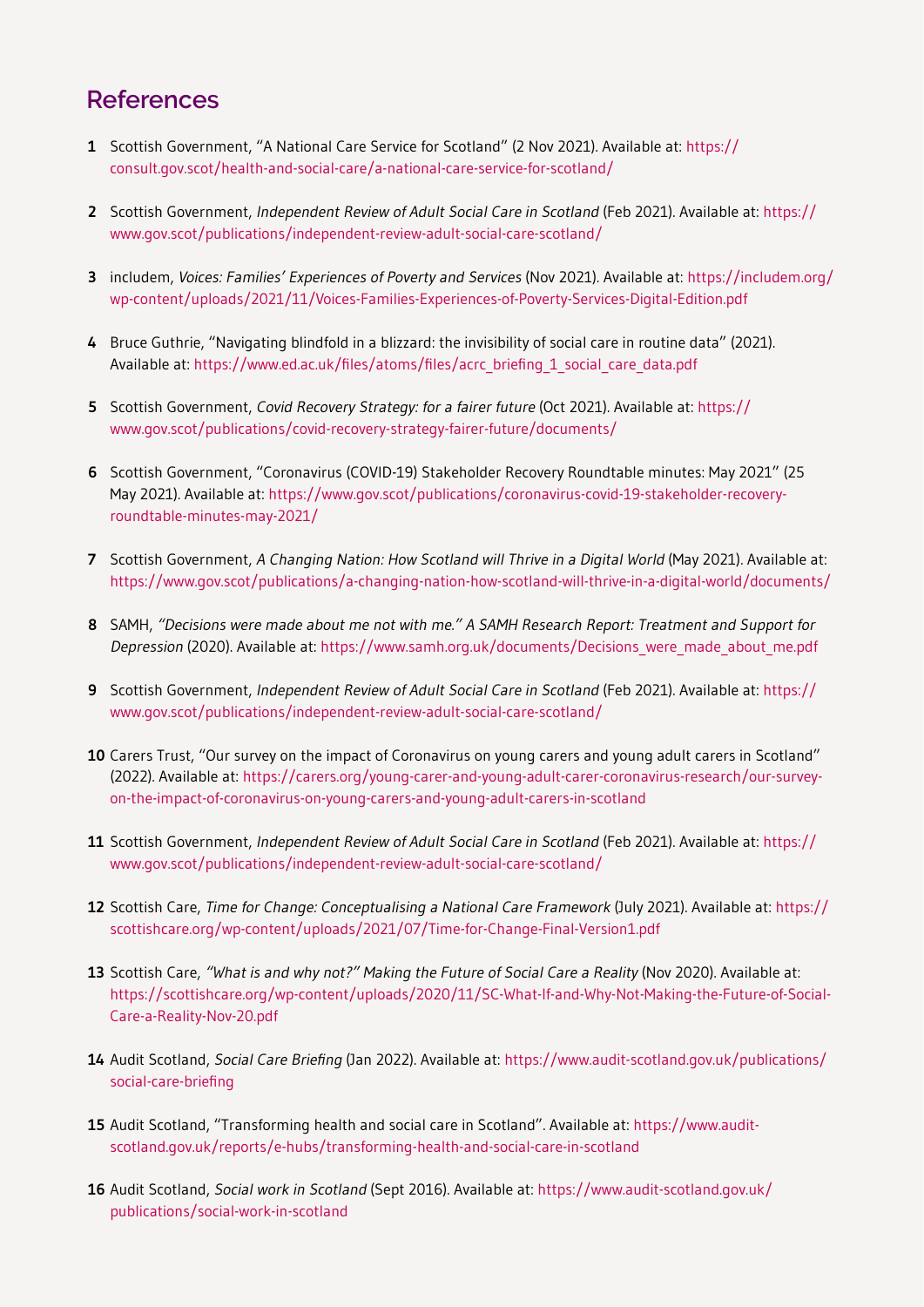#### <span id="page-31-1"></span><span id="page-31-0"></span>**References**

- **1** Scottish Government, "A National Care Service for Scotland" (2 Nov 2021). Available at: [https://](https://consult.gov.scot/health-and-social-care/a-national-care-service-for-scotland/) [consult.gov.scot/health-and-social-care/a-national-care-service-for-scotland/](https://consult.gov.scot/health-and-social-care/a-national-care-service-for-scotland/)
- **2** Scottish Government, *Independent Review of Adult Social Care in Scotland* (Feb 2021). Available at: [https://](https://www.gov.scot/publications/independent-review-adult-social-care-scotland/) [www.gov.scot/publications/independent-review-adult-social-care-scotland/](https://www.gov.scot/publications/independent-review-adult-social-care-scotland/)
- **3** includem, *Voices: Families' Experiences of Poverty and Services* (Nov 2021). Available at: [https://includem.org/](https://includem.org/wp-content/uploads/2021/11/Voices-Families-Experiences-of-Poverty-Services-Digital-Edition.pdf) [wp-content/uploads/2021/11/Voices-Families-Experiences-of-Poverty-Services-Digital-Edition.pdf](https://includem.org/wp-content/uploads/2021/11/Voices-Families-Experiences-of-Poverty-Services-Digital-Edition.pdf)
- Bruce Guthrie, "Navigating blindfold in a blizzard: the invisibility of social care in routine data" (2021). **4** Available at: [https://www.ed.ac.uk/files/atoms/files/acrc\\_briefing\\_1\\_social\\_care\\_data.pdf](https://www.ed.ac.uk/files/atoms/files/acrc_briefing_1_social_care_data.pdf)
- **5** Scottish Government, Covid Recovery Strategy: for a fairer future (Oct 2021). Available at: [https://](https://www.gov.scot/publications/covid-recovery-strategy-fairer-future/documents/) [www.gov.scot/publications/covid-recovery-strategy-fairer-future/documents/](https://www.gov.scot/publications/covid-recovery-strategy-fairer-future/documents/)
- Scottish Government, "Coronavirus (COVID-19) Stakeholder Recovery Roundtable minutes: May 2021" (25 **6** May 2021). Available at: [https://www.gov.scot/publications/coronavirus-covid-19-stakeholder-recovery](https://www.gov.scot/publications/coronavirus-covid-19-stakeholder-recovery-roundtable-minutes-may-2021/)[roundtable-minutes-may-2021/](https://www.gov.scot/publications/coronavirus-covid-19-stakeholder-recovery-roundtable-minutes-may-2021/)
- **7** Scottish Government, *A Changing Nation: How Scotland will Thrive in a Digital World (May 2021). Available at:* <https://www.gov.scot/publications/a-changing-nation-how-scotland-will-thrive-in-a-digital-world/documents/>
- SAMH, "Decisions were made about me not with me." <sup>A</sup> SAMH Research Report: Treatment and Support for **8** Depression (2020). Available at: [https://www.samh.org.uk/documents/Decisions\\_were\\_made\\_about\\_me.pdf](https://www.samh.org.uk/documents/Decisions_were_made_about_me.pdf)
- Scottish Government, Independent Review of Adult Social Care in Scotland (Feb 2021). Available at: [https://](https://www.gov.scot/publications/independent-review-adult-social-care-scotland/) **9** [www.gov.scot/publications/independent-review-adult-social-care-scotland/](https://www.gov.scot/publications/independent-review-adult-social-care-scotland/)
- **10** Carers Trust, "Our survey on the impact of Coronavirus on young carers and young adult carers in Scotland" (2022). Available at: [https://carers.org/young-carer-and-young-adult-carer-coronavirus-research/our-survey](https://carers.org/young-carer-and-young-adult-carer-coronavirus-research/our-survey-on-the-impact-of-coronavirus-on-young-carers-and-young-adult-carers-in-scotland)[on-the-impact-of-coronavirus-on-young-carers-and-young-adult-carers-in-scotland](https://carers.org/young-carer-and-young-adult-carer-coronavirus-research/our-survey-on-the-impact-of-coronavirus-on-young-carers-and-young-adult-carers-in-scotland)
- **11** Scottish Government, *Independent Review of Adult Social Care in Scotland* (Feb 2021). Available at: [https://](https://www.gov.scot/publications/independent-review-adult-social-care-scotland/) [www.gov.scot/publications/independent-review-adult-social-care-scotland/](https://www.gov.scot/publications/independent-review-adult-social-care-scotland/)
- **12** Scottish Care, *Time for Change: Conceptualising a National Care Framework (July 2021). Available at: [https://](https://scottishcare.org/wp-content/uploads/2021/07/Time-for-Change-Final-Version1.pdf)* [scottishcare.org/wp-content/uploads/2021/07/Time-for-Change-Final-Version1.pdf](https://scottishcare.org/wp-content/uploads/2021/07/Time-for-Change-Final-Version1.pdf)
- **13** Scottish Care, "What is and why not?" Making the Future of Social Care a Reality (Nov 2020). Available at: [https://scottishcare.org/wp-content/uploads/2020/11/SC-What-If-and-Why-Not-Making-the-Future-of-Social-](https://scottishcare.org/wp-content/uploads/2020/11/SC-What-If-and-Why-Not-Making-the-Future-of-Social-Care-a-Reality-Nov-20.pdf)[Care-a-Reality-Nov-20.pdf](https://scottishcare.org/wp-content/uploads/2020/11/SC-What-If-and-Why-Not-Making-the-Future-of-Social-Care-a-Reality-Nov-20.pdf)
- Audit Scotland, Social Care Briefing (Jan 2022). Available at: [https://www.audit-scotland.gov.uk/publications/](https://www.audit-scotland.gov.uk/publications/social-care-briefing) **14** [social-care-briefing](https://www.audit-scotland.gov.uk/publications/social-care-briefing)
- **15** Audit Scotland, "Transforming health and social care in Scotland". Available at: [https://www.audit](https://www.audit-scotland.gov.uk/reports/e-hubs/transforming-health-and-social-care-in-scotland)[scotland.gov.uk/reports/e-hubs/transforming-health-and-social-care-in-scotland](https://www.audit-scotland.gov.uk/reports/e-hubs/transforming-health-and-social-care-in-scotland)
- Audit Scotland, Social work in Scotland (Sept 2016). Available at: [https://www.audit-scotland.gov.uk/](https://www.audit-scotland.gov.uk/publications/social-work-in-scotland) **16**[publications/social-work-in-scotland](https://www.audit-scotland.gov.uk/publications/social-work-in-scotland)